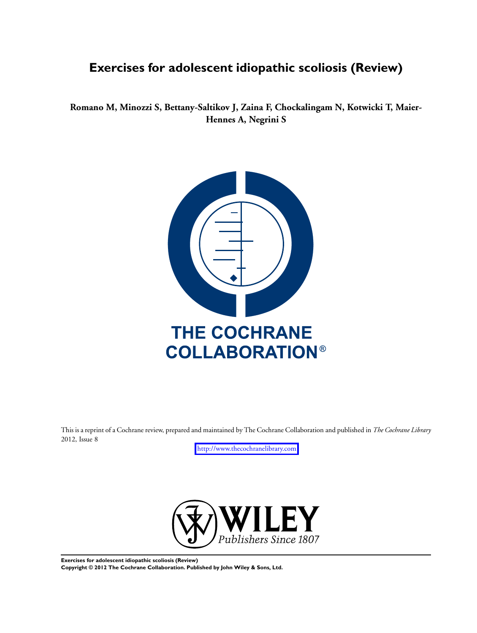# **Exercises for adolescent idiopathic scoliosis (Review)**

**Romano M, Minozzi S, Bettany-Saltikov J, Zaina F, Chockalingam N, Kotwicki T, Maier-Hennes A, Negrini S**



This is a reprint of a Cochrane review, prepared and maintained by The Cochrane Collaboration and published in *The Cochrane Library* 2012, Issue 8

<http://www.thecochranelibrary.com>



**Exercises for adolescent idiopathic scoliosis (Review) Copyright © 2012 The Cochrane Collaboration. Published by John Wiley & Sons, Ltd.**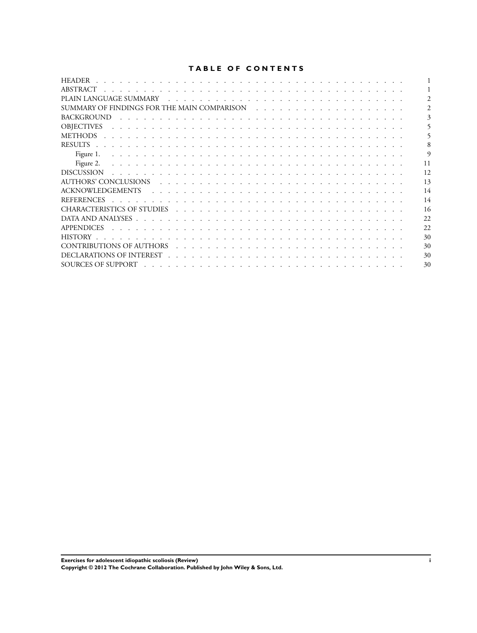# **TABLE OF CONTENTS**

| <b>HEADER</b>                                                                                                                                                                                                                                                       |    |
|---------------------------------------------------------------------------------------------------------------------------------------------------------------------------------------------------------------------------------------------------------------------|----|
| ABSTRACT                                                                                                                                                                                                                                                            |    |
| PLAIN LANGUAGE SUMMARY<br>the company of the company of the company of the company of the company of the company of the company of the company of the company of the company of the company of the company of the company of the company of the company             |    |
| SUMMARY OF FINDINGS FOR THE MAIN COMPARISON                                                                                                                                                                                                                         |    |
| <b>BACKGROUND</b>                                                                                                                                                                                                                                                   |    |
| <b>OBJECTIVES</b>                                                                                                                                                                                                                                                   |    |
| <b>METHODS</b><br>the contract of the contract of the contract of the contract of the contract of the contract of the contract of                                                                                                                                   |    |
| <b>RESULTS</b>                                                                                                                                                                                                                                                      |    |
| Figure 1.                                                                                                                                                                                                                                                           |    |
| Figure 2.                                                                                                                                                                                                                                                           | 11 |
| <b>DISCUSSION</b>                                                                                                                                                                                                                                                   | 12 |
| AUTHORS' CONCLUSIONS                                                                                                                                                                                                                                                | 13 |
| <b>ACKNOWLEDGEMENTS</b>                                                                                                                                                                                                                                             | 14 |
| <b>REFERENCES</b><br>a construction of the construction of the construction of the construction of the construction of the construction of the construction of the construction of the construction of the construction of the construction of the                  | 14 |
| <b>CHARACTERISTICS OF STUDIES</b><br>the contract of the contract of the contract of the contract of the contract of the contract of the contract of the contract of the contract of the contract of the contract of the contract of the contract of the contract o | 16 |
| DATA AND ANALYSES<br>والمتعاونة والمتعاونة والمتعاونة والمتعاونة والمتعاونة والمتعاونة والمتعاونة والمتعاونة والمتعاونة والمتعاونة                                                                                                                                  | 22 |
| <b>APPENDICES</b>                                                                                                                                                                                                                                                   | 22 |
| <b>HISTORY</b><br>the contract of the contract of the contract of the contract of the contract of the contract of the contract of                                                                                                                                   | 30 |
| CONTRIBUTIONS OF AUTHORS                                                                                                                                                                                                                                            | 30 |
| DECLARATIONS OF INTEREST                                                                                                                                                                                                                                            | 30 |
| SOURCES OF SUPPORT<br>and the contract of the contract of the contract of the contract of the contract of the contract of the contract of the contract of the contract of the contract of the contract of the contract of the contract of the contra                | 30 |
|                                                                                                                                                                                                                                                                     |    |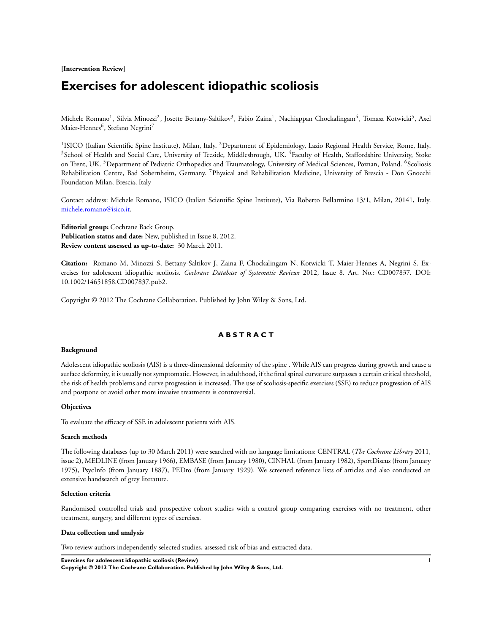**[Intervention Review]**

# **Exercises for adolescent idiopathic scoliosis**

Michele Romano<sup>1</sup>, Silvia Minozzi<sup>2</sup>, Josette Bettany-Saltikov<sup>3</sup>, Fabio Zaina<sup>1</sup>, Nachiappan Chockalingam<sup>4</sup>, Tomasz Kotwicki<sup>5</sup>, Axel Maier-Hennes<sup>6</sup>, Stefano Negrini<sup>7</sup>

<sup>1</sup>ISICO (Italian Scientific Spine Institute), Milan, Italy. <sup>2</sup>Department of Epidemiology, Lazio Regional Health Service, Rome, Italy. <sup>3</sup>School of Health and Social Care, University of Teeside, Middlesbrough, UK. <sup>4</sup>Faculty of Health, Staffordshire University, Stoke on Trent, UK. <sup>5</sup>Department of Pediatric Orthopedics and Traumatology, University of Medical Sciences, Poznan, Poland. <sup>6</sup>Scoliosis Rehabilitation Centre, Bad Sobernheim, Germany. <sup>7</sup>Physical and Rehabilitation Medicine, University of Brescia - Don Gnocchi Foundation Milan, Brescia, Italy

Contact address: Michele Romano, ISICO (Italian Scientific Spine Institute), Via Roberto Bellarmino 13/1, Milan, 20141, Italy. [michele.romano@isico.it](mailto:michele.romano@isico.it).

**Editorial group:** Cochrane Back Group. **Publication status and date:** New, published in Issue 8, 2012. **Review content assessed as up-to-date:** 30 March 2011.

**Citation:** Romano M, Minozzi S, Bettany-Saltikov J, Zaina F, Chockalingam N, Kotwicki T, Maier-Hennes A, Negrini S. Exercises for adolescent idiopathic scoliosis. *Cochrane Database of Systematic Reviews* 2012, Issue 8. Art. No.: CD007837. DOI: 10.1002/14651858.CD007837.pub2.

Copyright © 2012 The Cochrane Collaboration. Published by John Wiley & Sons, Ltd.

# **A B S T R A C T**

### **Background**

Adolescent idiopathic scoliosis (AIS) is a three-dimensional deformity of the spine . While AIS can progress during growth and cause a surface deformity, it is usually not symptomatic. However, in adulthood, if the final spinal curvature surpasses a certain critical threshold, the risk of health problems and curve progression is increased. The use of scoliosis-specific exercises (SSE) to reduce progression of AIS and postpone or avoid other more invasive treatments is controversial.

### **Objectives**

To evaluate the efficacy of SSE in adolescent patients with AIS.

#### **Search methods**

The following databases (up to 30 March 2011) were searched with no language limitations: CENTRAL (*The Cochrane Library* 2011, issue 2), MEDLINE (from January 1966), EMBASE (from January 1980), CINHAL (from January 1982), SportDiscus (from January 1975), PsycInfo (from January 1887), PEDro (from January 1929). We screened reference lists of articles and also conducted an extensive handsearch of grey literature.

### **Selection criteria**

Randomised controlled trials and prospective cohort studies with a control group comparing exercises with no treatment, other treatment, surgery, and different types of exercises.

#### **Data collection and analysis**

Two review authors independently selected studies, assessed risk of bias and extracted data.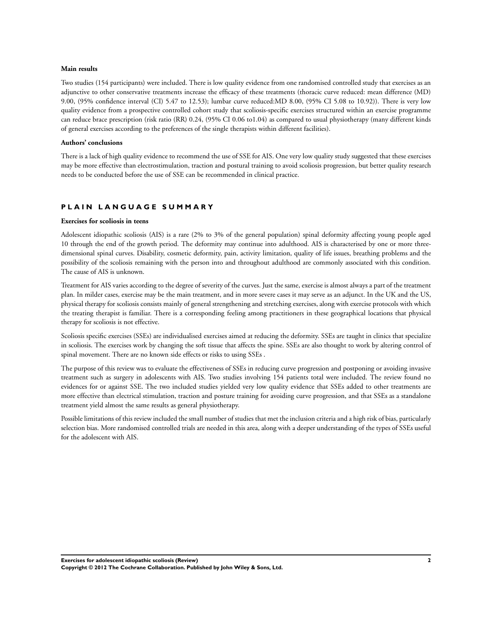#### **Main results**

Two studies (154 participants) were included. There is low quality evidence from one randomised controlled study that exercises as an adjunctive to other conservative treatments increase the efficacy of these treatments (thoracic curve reduced: mean difference (MD) 9.00, (95% confidence interval (CI) 5.47 to 12.53); lumbar curve reduced:MD 8.00, (95% CI 5.08 to 10.92)). There is very low quality evidence from a prospective controlled cohort study that scoliosis-specific exercises structured within an exercise programme can reduce brace prescription (risk ratio (RR) 0.24, (95% CI 0.06 to1.04) as compared to usual physiotherapy (many different kinds of general exercises according to the preferences of the single therapists within different facilities).

### **Authors' conclusions**

There is a lack of high quality evidence to recommend the use of SSE for AIS. One very low quality study suggested that these exercises may be more effective than electrostimulation, traction and postural training to avoid scoliosis progression, but better quality research needs to be conducted before the use of SSE can be recommended in clinical practice.

# **P L A I N L A N G U A G E S U M M A R Y**

#### **Exercises for scoliosis in teens**

Adolescent idiopathic scoliosis (AIS) is a rare (2% to 3% of the general population) spinal deformity affecting young people aged 10 through the end of the growth period. The deformity may continue into adulthood. AIS is characterised by one or more threedimensional spinal curves. Disability, cosmetic deformity, pain, activity limitation, quality of life issues, breathing problems and the possibility of the scoliosis remaining with the person into and throughout adulthood are commonly associated with this condition. The cause of AIS is unknown.

Treatment for AIS varies according to the degree of severity of the curves. Just the same, exercise is almost always a part of the treatment plan. In milder cases, exercise may be the main treatment, and in more severe cases it may serve as an adjunct. In the UK and the US, physical therapy for scoliosis consists mainly of general strengthening and stretching exercises, along with exercise protocols with which the treating therapist is familiar. There is a corresponding feeling among practitioners in these geographical locations that physical therapy for scoliosis is not effective.

Scoliosis specific exercises (SSEs) are individualised exercises aimed at reducing the deformity. SSEs are taught in clinics that specialize in scoliosis. The exercises work by changing the soft tissue that affects the spine. SSEs are also thought to work by altering control of spinal movement. There are no known side effects or risks to using SSEs .

The purpose of this review was to evaluate the effectiveness of SSEs in reducing curve progression and postponing or avoiding invasive treatment such as surgery in adolescents with AIS. Two studies involving 154 patients total were included. The review found no evidences for or against SSE. The two included studies yielded very low quality evidence that SSEs added to other treatments are more effective than electrical stimulation, traction and posture training for avoiding curve progression, and that SSEs as a standalone treatment yield almost the same results as general physiotherapy.

Possible limitations of this review included the small number of studies that met the inclusion criteria and a high risk of bias, particularly selection bias. More randomised controlled trials are needed in this area, along with a deeper understanding of the types of SSEs useful for the adolescent with AIS.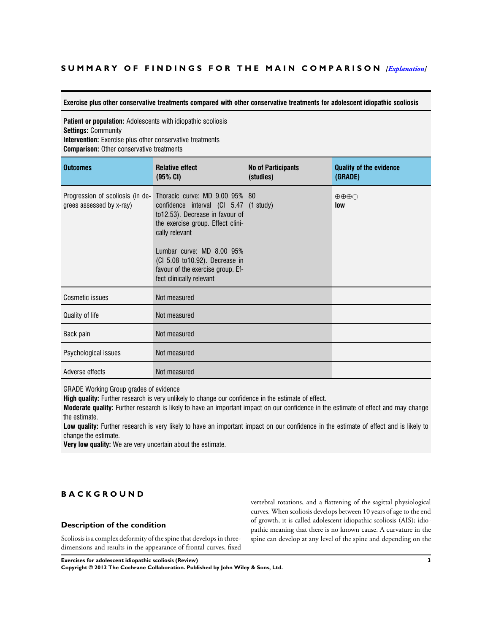# **S U M M A R Y O F F I N D I N G S F O R T H E M A I N C O M P A R I S O N** *[[Explanation\]](http://www.thecochranelibrary.com/view/0/SummaryFindings.html)*

**Exercise plus other conservative treatments compared with other conservative treatments for adolescent idiopathic scoliosis**

**Patient or population:** Adolescents with idiopathic scoliosis **Settings:** Community **Intervention:** Exercise plus other conservative treatments **Comparison:** Other conservative treatments

| <b>Outcomes</b>                                              | <b>Relative effect</b><br>(95% CI)                                                                                                                                                                                                                                                                  | <b>No of Participants</b><br>(studies) | <b>Quality of the evidence</b><br>(GRADE) |
|--------------------------------------------------------------|-----------------------------------------------------------------------------------------------------------------------------------------------------------------------------------------------------------------------------------------------------------------------------------------------------|----------------------------------------|-------------------------------------------|
| Progression of scoliosis (in de-<br>grees assessed by x-ray) | Thoracic curve: MD 9.00 95% 80<br>confidence interval (CI 5.47 (1 study)<br>to 12.53). Decrease in favour of<br>the exercise group. Effect clini-<br>cally relevant<br>Lumbar curve: MD 8.00 95%<br>(CI 5.08 to10.92). Decrease in<br>favour of the exercise group. Ef-<br>fect clinically relevant |                                        | $\oplus \oplus \oplus \bigcirc$<br>low    |
| Cosmetic issues                                              | Not measured                                                                                                                                                                                                                                                                                        |                                        |                                           |
| <b>Quality of life</b>                                       | Not measured                                                                                                                                                                                                                                                                                        |                                        |                                           |
| Back pain                                                    | Not measured                                                                                                                                                                                                                                                                                        |                                        |                                           |
| Psychological issues                                         | Not measured                                                                                                                                                                                                                                                                                        |                                        |                                           |
| Adverse effects                                              | Not measured                                                                                                                                                                                                                                                                                        |                                        |                                           |

GRADE Working Group grades of evidence

**High quality:** Further research is very unlikely to change our confidence in the estimate of effect.

**Moderate quality:** Further research is likely to have an important impact on our confidence in the estimate of effect and may change the estimate.

**Low quality:** Further research is very likely to have an important impact on our confidence in the estimate of effect and is likely to change the estimate.

**Very low quality:** We are very uncertain about the estimate.

# **B A C K G R O U N D**

# **Description of the condition**

Scoliosis is a complex deformity of the spine that develops in threedimensions and results in the appearance of frontal curves, fixed vertebral rotations, and a flattening of the sagittal physiological curves. When scoliosis develops between 10 years of age to the end of growth, it is called adolescent idiopathic scoliosis (AIS); idiopathic meaning that there is no known cause. A curvature in the spine can develop at any level of the spine and depending on the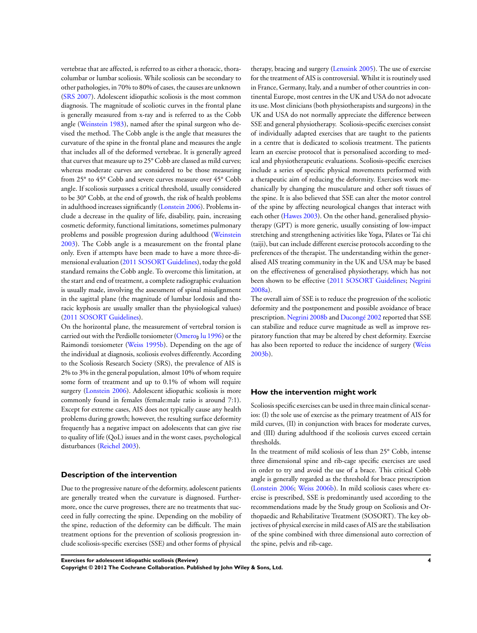vertebrae that are affected, is referred to as either a thoracic, thoracolumbar or lumbar scoliosis. While scoliosis can be secondary to other pathologies, in 70% to 80% of cases, the causes are unknown (SRS 2007). Adolescent idiopathic scoliosis is the most common diagnosis. The magnitude of scoliotic curves in the frontal plane is generally measured from x-ray and is referred to as the Cobb angle (Weinstein 1983), named after the spinal surgeon who devised the method. The Cobb angle is the angle that measures the curvature of the spine in the frontal plane and measures the angle that includes all of the deformed vertebrae. It is generally agreed that curves that measure up to 25° Cobb are classed as mild curves; whereas moderate curves are considered to be those measuring from 25° to 45° Cobb and severe curves measure over 45° Cobb angle. If scoliosis surpasses a critical threshold, usually considered to be 30° Cobb, at the end of growth, the risk of health problems in adulthood increases significantly (Lonstein 2006). Problems include a decrease in the quality of life, disability, pain, increasing cosmetic deformity, functional limitations, sometimes pulmonary problems and possible progression during adulthood (Weinstein 2003). The Cobb angle is a measurement on the frontal plane only. Even if attempts have been made to have a more three-dimensional evaluation (2011 SOSORT Guidelines), today the gold standard remains the Cobb angle. To overcome this limitation, at the start and end of treatment, a complete radiographic evaluation is usually made, involving the assessment of spinal misalignment in the sagittal plane (the magnitude of lumbar lordosis and thoracic kyphosis are usually smaller than the physiological values) (2011 SOSORT Guidelines).

On the horizontal plane, the measurement of vertebral torsion is carried out with the Perdiolle torsiometer (Omeros lu 1996) or the Raimondi torsiometer (Weiss 1995b). Depending on the age of the individual at diagnosis, scoliosis evolves differently. According to the Scoliosis Research Society (SRS), the prevalence of AIS is 2% to 3% in the general population, almost 10% of whom require some form of treatment and up to 0.1% of whom will require surgery (Lonstein 2006). Adolescent idiopathic scoliosis is more commonly found in females (female:male ratio is around 7:1). Except for extreme cases, AIS does not typically cause any health problems during growth; however, the resulting surface deformity frequently has a negative impact on adolescents that can give rise to quality of life (QoL) issues and in the worst cases, psychological disturbances (Reichel 2003).

# **Description of the intervention**

Due to the progressive nature of the deformity, adolescent patients are generally treated when the curvature is diagnosed. Furthermore, once the curve progresses, there are no treatments that succeed in fully correcting the spine. Depending on the mobility of the spine, reduction of the deformity can be difficult. The main treatment options for the prevention of scoliosis progression include scoliosis-specific exercises (SSE) and other forms of physical

therapy, bracing and surgery (Lenssink 2005). The use of exercise for the treatment of AIS is controversial. Whilst it is routinely used in France, Germany, Italy, and a number of other countries in continental Europe, most centres in the UK and USA do not advocate its use. Most clinicians (both physiotherapists and surgeons) in the UK and USA do not normally appreciate the difference between SSE and general physiotherapy. Scoliosis-specific exercises consist of individually adapted exercises that are taught to the patients in a centre that is dedicated to scoliosis treatment. The patients learn an exercise protocol that is personalised according to medical and physiotherapeutic evaluations. Scoliosis-specific exercises include a series of specific physical movements performed with a therapeutic aim of reducing the deformity. Exercises work mechanically by changing the musculature and other soft tissues of the spine. It is also believed that SSE can alter the motor control of the spine by affecting neurological changes that interact with each other (Hawes 2003). On the other hand, generalised physiotherapy (GPT) is more generic, usually consisting of low-impact stretching and strengthening activities like Yoga, Pilates or Tai chi (taiji), but can include different exercise protocols according to the preferences of the therapist. The understanding within the generalised AIS treating community in the UK and USA may be based on the effectiveness of generalised physiotherapy, which has not been shown to be effective (2011 SOSORT Guidelines; Negrini 2008a).

The overall aim of SSE is to reduce the progression of the scoliotic deformity and the postponement and possible avoidance of brace prescription. Negrini 2008b and Ducongé 2002 reported that SSE can stabilize and reduce curve magnitude as well as improve respiratory function that may be altered by chest deformity. Exercise has also been reported to reduce the incidence of surgery (Weiss 2003b).

### **How the intervention might work**

Scoliosis specific exercises can be used in three main clinical scenarios: (I) the sole use of exercise as the primary treatment of AIS for mild curves, (II) in conjunction with braces for moderate curves, and (III) during adulthood if the scoliosis curves exceed certain thresholds.

In the treatment of mild scoliosis of less than 25° Cobb, intense three dimensional spine and rib-cage specific exercises are used in order to try and avoid the use of a brace. This critical Cobb angle is generally regarded as the threshold for brace prescription (Lonstein 2006; Weiss 2006b). In mild scoliosis cases where exercise is prescribed, SSE is predominantly used according to the recommendations made by the Study group on Scoliosis and Orthopaedic and Rehabilitative Treatment (SOSORT). The key objectives of physical exercise in mild cases of AIS are the stabilisation of the spine combined with three dimensional auto correction of the spine, pelvis and rib-cage.

**Exercises for adolescent idiopathic scoliosis (Review) 4 Copyright © 2012 The Cochrane Collaboration. Published by John Wiley & Sons, Ltd.**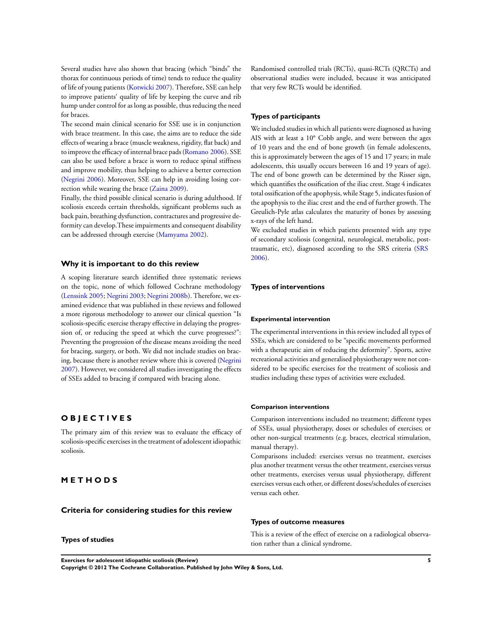Several studies have also shown that bracing (which "binds" the thorax for continuous periods of time) tends to reduce the quality of life of young patients (Kotwicki 2007). Therefore, SSE can help to improve patients' quality of life by keeping the curve and rib hump under control for as long as possible, thus reducing the need for braces.

The second main clinical scenario for SSE use is in conjunction with brace treatment. In this case, the aims are to reduce the side effects of wearing a brace (muscle weakness, rigidity, flat back) and to improve the efficacy of internal brace pads (Romano 2006). SSE can also be used before a brace is worn to reduce spinal stiffness and improve mobility, thus helping to achieve a better correction (Negrini 2006). Moreover, SSE can help in avoiding losing correction while wearing the brace (Zaina 2009).

Finally, the third possible clinical scenario is during adulthood. If scoliosis exceeds certain thresholds, significant problems such as back pain, breathing dysfunction, contractures and progressive deformity can develop.These impairments and consequent disability can be addressed through exercise (Mamyama 2002).

### **Why it is important to do this review**

A scoping literature search identified three systematic reviews on the topic, none of which followed Cochrane methodology (Lenssink 2005; Negrini 2003; Negrini 2008b). Therefore, we examined evidence that was published in these reviews and followed a more rigorous methodology to answer our clinical question "Is scoliosis-specific exercise therapy effective in delaying the progression of, or reducing the speed at which the curve progresses?": Preventing the progression of the disease means avoiding the need for bracing, surgery, or both. We did not include studies on bracing, because there is another review where this is covered (Negrini 2007). However, we considered all studies investigating the effects of SSEs added to bracing if compared with bracing alone.

# **O B J E C T I V E S**

The primary aim of this review was to evaluate the efficacy of scoliosis-specific exercises in the treatment of adolescent idiopathic scoliosis.

# **M E T H O D S**

#### **Criteria for considering studies for this review**

### **Types of studies**

Randomised controlled trials (RCTs), quasi-RCTs (QRCTs) and observational studies were included, because it was anticipated that very few RCTs would be identified.

#### **Types of participants**

We included studies in which all patients were diagnosed as having AIS with at least a 10° Cobb angle, and were between the ages of 10 years and the end of bone growth (in female adolescents, this is approximately between the ages of 15 and 17 years; in male adolescents, this usually occurs between 16 and 19 years of age). The end of bone growth can be determined by the Risser sign, which quantifies the ossification of the iliac crest. Stage 4 indicates total ossification of the apophysis, while Stage 5, indicates fusion of the apophysis to the iliac crest and the end of further growth. The Greulich-Pyle atlas calculates the maturity of bones by assessing x-rays of the left hand.

We excluded studies in which patients presented with any type of secondary scoliosis (congenital, neurological, metabolic, posttraumatic, etc), diagnosed according to the SRS criteria (SRS 2006).

## **Types of interventions**

#### **Experimental intervention**

The experimental interventions in this review included all types of SSEs, which are considered to be "specific movements performed with a therapeutic aim of reducing the deformity". Sports, active recreational activities and generalised physiotherapy were not considered to be specific exercises for the treatment of scoliosis and studies including these types of activities were excluded.

#### **Comparison interventions**

Comparison interventions included no treatment; different types of SSEs, usual physiotherapy, doses or schedules of exercises; or other non-surgical treatments (e.g. braces, electrical stimulation, manual therapy).

Comparisons included: exercises versus no treatment, exercises plus another treatment versus the other treatment, exercises versus other treatments, exercises versus usual physiotherapy, different exercises versus each other, or different doses/schedules of exercises versus each other.

#### **Types of outcome measures**

This is a review of the effect of exercise on a radiological observation rather than a clinical syndrome.

**Exercises for adolescent idiopathic scoliosis (Review) 5**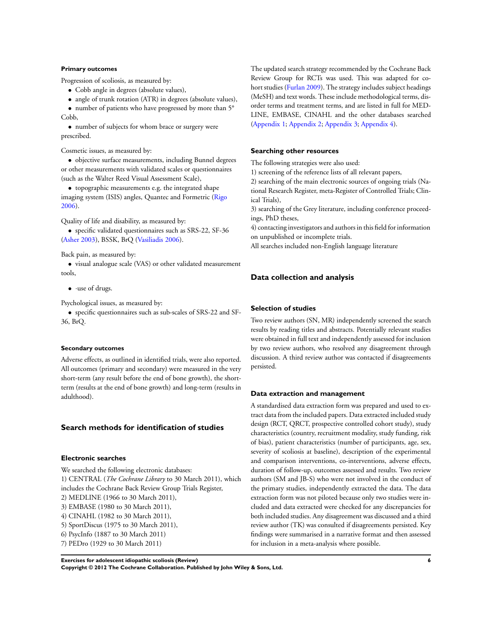#### **Primary outcomes**

Progression of scoliosis, as measured by:

- Cobb angle in degrees (absolute values),
- angle of trunk rotation (ATR) in degrees (absolute values),
- number of patients who have progressed by more than 5° Cobb,

• number of subjects for whom brace or surgery were prescribed.

Cosmetic issues, as measured by:

• objective surface measurements, including Bunnel degrees or other measurements with validated scales or questionnaires (such as the Walter Reed Visual Assessment Scale),

• topographic measurements e.g. the integrated shape imaging system (ISIS) angles, Quantec and Formetric (Rigo 2006).

Quality of life and disability, as measured by:

• specific validated questionnaires such as SRS-22, SF-36 (Asher 2003), BSSK, BrQ (Vasiliadis 2006).

Back pain, as measured by:

• visual analogue scale (VAS) or other validated measurement tools,

• ·use of drugs.

Psychological issues, as measured by:

• specific questionnaires such as sub-scales of SRS-22 and SF-36, BrQ.

## **Secondary outcomes**

Adverse effects, as outlined in identified trials, were also reported. All outcomes (primary and secondary) were measured in the very short-term (any result before the end of bone growth), the shortterm (results at the end of bone growth) and long-term (results in adulthood).

# **Search methods for identification of studies**

### **Electronic searches**

We searched the following electronic databases: 1) CENTRAL (*The Cochrane Library* to 30 March 2011), which includes the Cochrane Back Review Group Trials Register, 2) MEDLINE (1966 to 30 March 2011), 3) EMBASE (1980 to 30 March 2011),

4) CINAHL (1982 to 30 March 2011),

- 5) SportDiscus (1975 to 30 March 2011),
- 6) PsycInfo (1887 to 30 March 2011)
- 7) PEDro (1929 to 30 March 2011)

The updated search strategy recommended by the Cochrane Back Review Group for RCTs was used. This was adapted for cohort studies (Furlan 2009). The strategy includes subject headings (MeSH) and text words. These include methodological terms, disorder terms and treatment terms, and are listed in full for MED-LINE, EMBASE, CINAHL and the other databases searched (Appendix 1; Appendix 2; Appendix 3; Appendix 4).

# **Searching other resources**

The following strategies were also used:

1) screening of the reference lists of all relevant papers,

2) searching of the main electronic sources of ongoing trials (National Research Register, meta-Register of Controlled Trials; Clinical Trials),

3) searching of the Grey literature, including conference proceedings, PhD theses,

4) contacting investigators and authors in this field for information on unpublished or incomplete trials.

All searches included non-English language literature

#### **Data collection and analysis**

#### **Selection of studies**

Two review authors (SN, MR) independently screened the search results by reading titles and abstracts. Potentially relevant studies were obtained in full text and independently assessed for inclusion by two review authors, who resolved any disagreement through discussion. A third review author was contacted if disagreements persisted.

#### **Data extraction and management**

A standardised data extraction form was prepared and used to extract data from the included papers. Data extracted included study design (RCT, QRCT, prospective controlled cohort study), study characteristics (country, recruitment modality, study funding, risk of bias), patient characteristics (number of participants, age, sex, severity of scoliosis at baseline), description of the experimental and comparison interventions, co-interventions, adverse effects, duration of follow-up, outcomes assessed and results. Two review authors (SM and JB-S) who were not involved in the conduct of the primary studies, independently extracted the data. The data extraction form was not piloted because only two studies were included and data extracted were checked for any discrepancies for both included studies. Any disagreement was discussed and a third review author (TK) was consulted if disagreements persisted. Key findings were summarised in a narrative format and then assessed for inclusion in a meta-analysis where possible.

**Exercises for adolescent idiopathic scoliosis (Review) 6**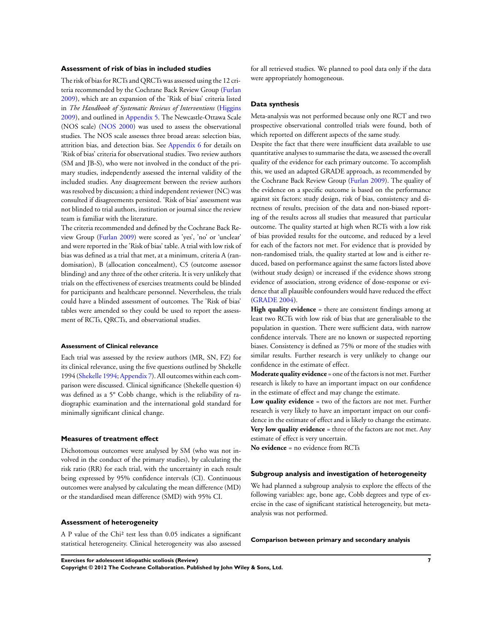# **Assessment of risk of bias in included studies**

The risk of bias for RCTs and QRCTs was assessed using the 12 criteria recommended by the Cochrane Back Review Group (Furlan 2009), which are an expansion of the 'Risk of bias' criteria listed in *The Handbook of Systematic Reviews of Interventions* (Higgins 2009), and outlined in Appendix 5. The Newcastle-Ottawa Scale (NOS scale) (NOS 2000) was used to assess the observational studies. The NOS scale assesses three broad areas: selection bias, attrition bias, and detection bias. See Appendix 6 for details on 'Risk of bias' criteria for observational studies. Two review authors (SM and JB-S), who were not involved in the conduct of the primary studies, independently assessed the internal validity of the included studies. Any disagreement between the review authors was resolved by discussion; a third independent reviewer (NC) was consulted if disagreements persisted. 'Risk of bias' assessment was not blinded to trial authors, institution or journal since the review team is familiar with the literature.

The criteria recommended and defined by the Cochrane Back Review Group (Furlan 2009) were scored as 'yes', 'no' or 'unclear' and were reported in the 'Risk of bias' table. A trial with low risk of bias was defined as a trial that met, at a minimum, criteria A (randomisation), B (allocation concealment), C5 (outcome assessor blinding) and any three of the other criteria. It is very unlikely that trials on the effectiveness of exercises treatments could be blinded for participants and healthcare personnel. Nevertheless, the trials could have a blinded assessment of outcomes. The 'Risk of bias' tables were amended so they could be used to report the assessment of RCTs, QRCTs, and observational studies.

#### **Assessment of Clinical relevance**

Each trial was assessed by the review authors (MR, SN, FZ) for its clinical relevance, using the five questions outlined by Shekelle 1994 (Shekelle 1994; Appendix 7). All outcomes within each comparison were discussed. Clinical significance (Shekelle question 4) was defined as a 5° Cobb change, which is the reliability of radiographic examination and the international gold standard for minimally significant clinical change.

#### **Measures of treatment effect**

Dichotomous outcomes were analysed by SM (who was not involved in the conduct of the primary studies), by calculating the risk ratio (RR) for each trial, with the uncertainty in each result being expressed by 95% confidence intervals (CI). Continuous outcomes were analysed by calculating the mean difference (MD) or the standardised mean difference (SMD) with 95% CI.

#### **Assessment of heterogeneity**

A P value of the Chi² test less than 0.05 indicates a significant statistical heterogeneity. Clinical heterogeneity was also assessed for all retrieved studies. We planned to pool data only if the data were appropriately homogeneous.

### **Data synthesis**

Meta-analysis was not performed because only one RCT and two prospective observational controlled trials were found, both of which reported on different aspects of the same study.

Despite the fact that there were insufficient data available to use quantitative analyses to summarise the data, we assessed the overall quality of the evidence for each primary outcome. To accomplish this, we used an adapted GRADE approach, as recommended by the Cochrane Back Review Group (Furlan 2009). The quality of the evidence on a specific outcome is based on the performance against six factors: study design, risk of bias, consistency and directness of results, precision of the data and non-biased reporting of the results across all studies that measured that particular outcome. The quality started at high when RCTs with a low risk of bias provided results for the outcome, and reduced by a level for each of the factors not met. For evidence that is provided by non-randomised trials, the quality started at low and is either reduced, based on performance against the same factors listed above (without study design) or increased if the evidence shows strong evidence of association, strong evidence of dose-response or evidence that all plausible confounders would have reduced the effect (GRADE 2004).

**High quality evidence** = there are consistent findings among at least two RCTs with low risk of bias that are generalisable to the population in question. There were sufficient data, with narrow confidence intervals. There are no known or suspected reporting biases. Consistency is defined as 75% or more of the studies with similar results. Further research is very unlikely to change our confidence in the estimate of effect.

**Moderate quality evidence** = one of the factors is not met. Further research is likely to have an important impact on our confidence in the estimate of effect and may change the estimate.

**Low quality evidence** = two of the factors are not met. Further research is very likely to have an important impact on our confidence in the estimate of effect and is likely to change the estimate. **Very low quality evidence** = three of the factors are not met. Any estimate of effect is very uncertain.

**No evidence** = no evidence from RCTs

#### **Subgroup analysis and investigation of heterogeneity**

We had planned a subgroup analysis to explore the effects of the following variables: age, bone age, Cobb degrees and type of exercise in the case of significant statistical heterogeneity, but metaanalysis was not performed.

**Comparison between primary and secondary analysis**

**Exercises for adolescent idiopathic scoliosis (Review) 7**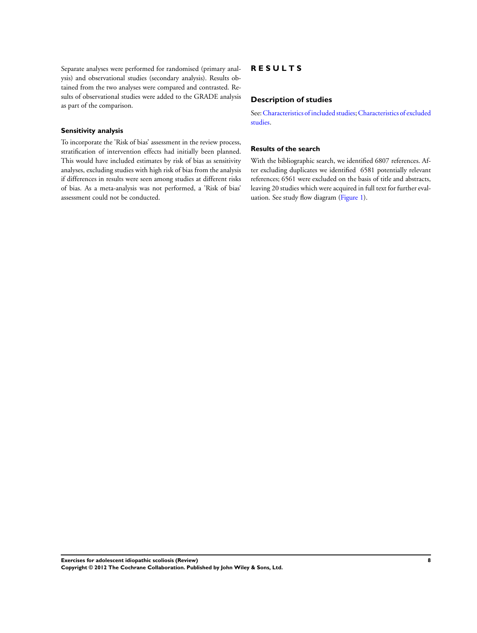Separate analyses were performed for randomised (primary analysis) and observational studies (secondary analysis). Results obtained from the two analyses were compared and contrasted. Results of observational studies were added to the GRADE analysis as part of the comparison.

# **Sensitivity analysis**

To incorporate the 'Risk of bias' assessment in the review process, stratification of intervention effects had initially been planned. This would have included estimates by risk of bias as sensitivity analyses, excluding studies with high risk of bias from the analysis if differences in results were seen among studies at different risks of bias. As a meta-analysis was not performed, a 'Risk of bias' assessment could not be conducted.

# **R E S U L T S**

# **Description of studies**

See:Characteristics of included studies;Characteristics of excluded studies.

# **Results of the search**

With the bibliographic search, we identified 6807 references. After excluding duplicates we identified 6581 potentially relevant references; 6561 were excluded on the basis of title and abstracts, leaving 20 studies which were acquired in full text for further evaluation. See study flow diagram (Figure 1).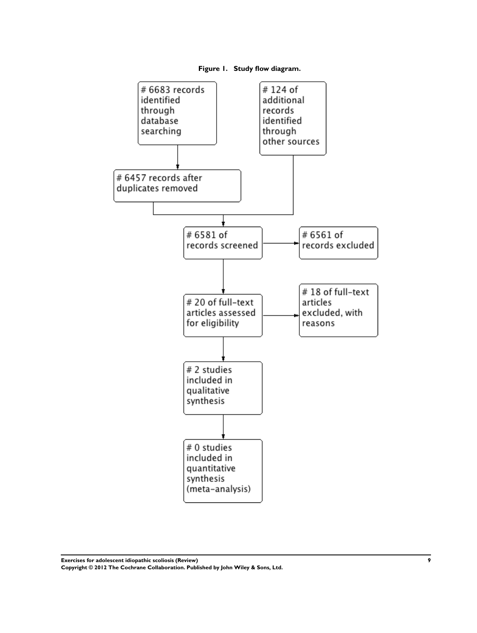

**Figure 1. Study flow diagram.**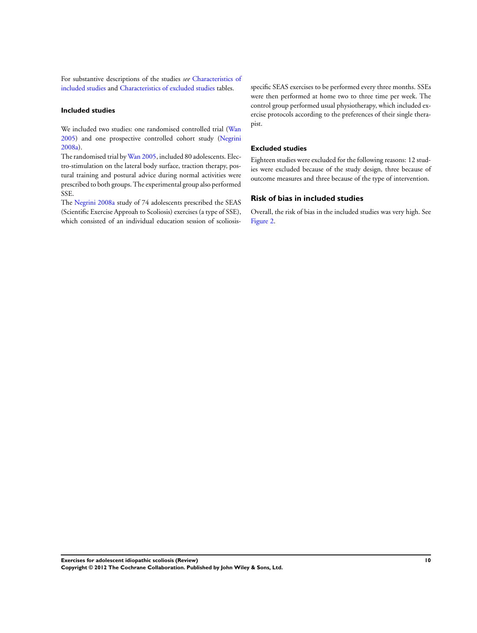For substantive descriptions of the studies *see* Characteristics of included studies and Characteristics of excluded studies tables.

# **Included studies**

We included two studies: one randomised controlled trial (Wan 2005) and one prospective controlled cohort study (Negrini 2008a).

The randomised trial by Wan 2005, included 80 adolescents. Electro-stimulation on the lateral body surface, traction therapy, postural training and postural advice during normal activities were prescribed to both groups. The experimental group also performed SSE.

The Negrini 2008a study of 74 adolescents prescribed the SEAS (Scientific Exercise Approah to Scoliosis) exercises (a type of SSE), which consisted of an individual education session of scoliosisspecific SEAS exercises to be performed every three months. SSEs were then performed at home two to three time per week. The control group performed usual physiotherapy, which included exercise protocols according to the preferences of their single therapist.

### **Excluded studies**

Eighteen studies were excluded for the following reasons: 12 studies were excluded because of the study design, three because of outcome measures and three because of the type of intervention.

# **Risk of bias in included studies**

Overall, the risk of bias in the included studies was very high. See Figure 2.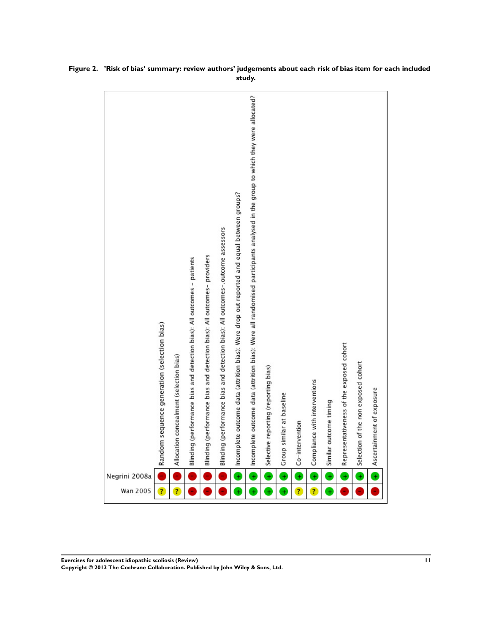**Figure 2. 'Risk of bias' summary: review authors' judgements about each risk of bias item for each included study.**

**Exercises for adolescent idiopathic scoliosis (Review) 11 Copyright © 2012 The Cochrane Collaboration. Published by John Wiley & Sons, Ltd.**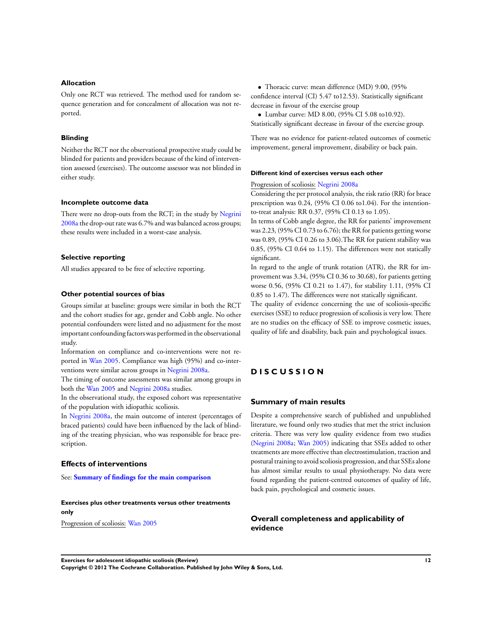# **Allocation**

Only one RCT was retrieved. The method used for random sequence generation and for concealment of allocation was not reported.

# **Blinding**

Neither the RCT nor the observational prospective study could be blinded for patients and providers because of the kind of intervention assessed (exercises). The outcome assessor was not blinded in either study.

#### **Incomplete outcome data**

There were no drop-outs from the RCT; in the study by Negrini 2008a the drop-out rate was 6.7% and was balanced across groups; these results were included in a worst-case analysis.

#### **Selective reporting**

All studies appeared to be free of selective reporting.

### **Other potential sources of bias**

Groups similar at baseline: groups were similar in both the RCT and the cohort studies for age, gender and Cobb angle. No other potential confounders were listed and no adjustment for the most important confounding factors was performed in the observational study.

Information on compliance and co-interventions were not reported in Wan 2005. Compliance was high (95%) and co-interventions were similar across groups in Negrini 2008a.

The timing of outcome assessments was similar among groups in both the Wan 2005 and Negrini 2008a studies.

In the observational study, the exposed cohort was representative of the population with idiopathic scoliosis.

In Negrini 2008a, the main outcome of interest (percentages of braced patients) could have been influenced by the lack of blinding of the treating physician, who was responsible for brace prescription.

### **Effects of interventions**

See: **Summary of findings for the main comparison**

### **Exercises plus other treatments versus other treatments only**

Progression of scoliosis: Wan 2005

• Thoracic curve: mean difference (MD) 9.00, (95% confidence interval (CI) 5.47 to12.53). Statistically significant decrease in favour of the exercise group

• Lumbar curve: MD 8.00, (95% CI 5.08 to10.92). Statistically significant decrease in favour of the exercise group.

There was no evidence for patient-related outcomes of cosmetic improvement, general improvement, disability or back pain.

#### **Different kind of exercises versus each other**

Progression of scoliosis: Negrini 2008a

Considering the per protocol analysis, the risk ratio (RR) for brace prescription was 0.24, (95% CI 0.06 to1.04). For the intentionto-treat analysis: RR 0.37, (95% CI 0.13 to 1.05).

In terms of Cobb angle degree, the RR for patients' improvement was 2.23, (95% CI 0.73 to 6.76); the RR for patients getting worse was 0.89, (95% CI 0.26 to 3.06).The RR for patient stability was 0.85, (95% CI 0.64 to 1.15). The differences were not statically significant.

In regard to the angle of trunk rotation (ATR), the RR for improvement was 3.34, (95% CI 0.36 to 30.68), for patients getting worse 0.56, (95% CI 0.21 to 1.47), for stability 1.11, (95% CI 0.85 to 1.47). The differences were not statically significant.

The quality of evidence concerning the use of scoliosis-specific exercises (SSE) to reduce progression of scoliosis is very low. There are no studies on the efficacy of SSE to improve cosmetic issues, quality of life and disability, back pain and psychological issues.

# **D I S C U S S I O N**

### **Summary of main results**

Despite a comprehensive search of published and unpublished literature, we found only two studies that met the strict inclusion criteria. There was very low quality evidence from two studies (Negrini 2008a; Wan 2005) indicating that SSEs added to other treatments are more effective than electrostimulation, traction and postural training to avoid scoliosis progression, and that SSEs alone has almost similar results to usual physiotherapy. No data were found regarding the patient-centred outcomes of quality of life, back pain, psychological and cosmetic issues.

# **Overall completeness and applicability of evidence**

**Exercises for adolescent idiopathic scoliosis (Review) 12 Copyright © 2012 The Cochrane Collaboration. Published by John Wiley & Sons, Ltd.**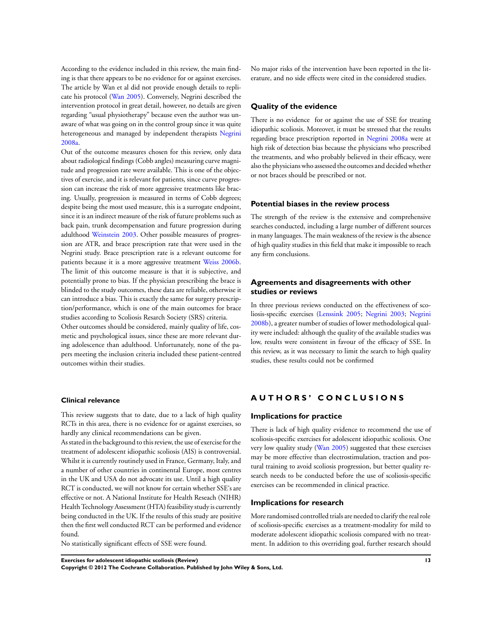According to the evidence included in this review, the main finding is that there appears to be no evidence for or against exercises. The article by Wan et al did not provide enough details to replicate his protocol (Wan 2005). Conversely, Negrini described the intervention protocol in great detail, however, no details are given regarding "usual physiotherapy" because even the author was unaware of what was going on in the control group since it was quite heterogeneous and managed by independent therapists Negrini 2008a.

Out of the outcome measures chosen for this review, only data about radiological findings (Cobb angles) measuring curve magnitude and progression rate were available. This is one of the objectives of exercise, and it is relevant for patients, since curve progression can increase the risk of more aggressive treatments like bracing. Usually, progression is measured in terms of Cobb degrees; despite being the most used measure, this is a surrogate endpoint, since it is an indirect measure of the risk of future problems such as back pain, trunk decompensation and future progression during adulthood Weinstein 2003. Other possible measures of progression are ATR, and brace prescription rate that were used in the Negrini study. Brace prescription rate is a relevant outcome for patients because it is a more aggressive treatment Weiss 2006b. The limit of this outcome measure is that it is subjective, and potentially prone to bias. If the physician prescribing the brace is blinded to the study outcomes, these data are reliable, otherwise it can introduce a bias. This is exactly the same for surgery prescription/performance, which is one of the main outcomes for brace studies according to Scoliosis Resarch Society (SRS) criteria.

Other outcomes should be considered, mainly quality of life, cosmetic and psychological issues, since these are more relevant during adolescence than adulthood. Unfortunately, none of the papers meeting the inclusion criteria included these patient-centred outcomes within their studies.

#### **Clinical relevance**

This review suggests that to date, due to a lack of high quality RCTs in this area, there is no evidence for or against exercises, so hardly any clinical recommendations can be given.

As stated in the background to this review, the use of exercise for the treatment of adolescent idiopathic scoliosis (AIS) is controversial. Whilst it is currently routinely used in France, Germany, Italy, and a number of other countries in continental Europe, most centres in the UK and USA do not advocate its use. Until a high quality RCT is conducted, we will not know for certain whether SSE's are effective or not. A National Institute for Health Reseach (NIHR) Health Technology Assessment (HTA) feasibility study is currently being conducted in the UK. If the results of this study are positive then the first well conducted RCT can be performed and evidence found.

No statistically significant effects of SSE were found.

No major risks of the intervention have been reported in the literature, and no side effects were cited in the considered studies.

# **Quality of the evidence**

There is no evidence for or against the use of SSE for treating idiopathic scoliosis. Moreover, it must be stressed that the results regarding brace prescription reported in Negrini 2008a were at high risk of detection bias because the physicians who prescribed the treatments, and who probably believed in their efficacy, were also the physicians who assessed the outcomes and decided whether or not braces should be prescribed or not.

### **Potential biases in the review process**

The strength of the review is the extensive and comprehensive searches conducted, including a large number of different sources in many languages. The main weakness of the review is the absence of high quality studies in this field that make it impossible to reach any firm conclusions.

# **Agreements and disagreements with other studies or reviews**

In three previous reviews conducted on the effectiveness of scoliosis-specific exercises (Lenssink 2005; Negrini 2003; Negrini 2008b), a greater number of studies of lower methodological quality were included: although the quality of the available studies was low, results were consistent in favour of the efficacy of SSE. In this review, as it was necessary to limit the search to high quality studies, these results could not be confirmed

# **A U T H O R S ' C O N C L U S I O N S**

#### **Implications for practice**

There is lack of high quality evidence to recommend the use of scoliosis-specific exercises for adolescent idiopathic scoliosis. One very low quality study (Wan 2005) suggested that these exercises may be more effective than electrostimulation, traction and postural training to avoid scoliosis progression, but better quality research needs to be conducted before the use of scoliosis-specific exercises can be recommended in clinical practice.

### **Implications for research**

More randomised controlled trials are needed to clarify the real role of scoliosis-specific exercises as a treatment-modality for mild to moderate adolescent idiopathic scoliosis compared with no treatment. In addition to this overriding goal, further research should

**Exercises for adolescent idiopathic scoliosis (Review) 13 Copyright © 2012 The Cochrane Collaboration. Published by John Wiley & Sons, Ltd.**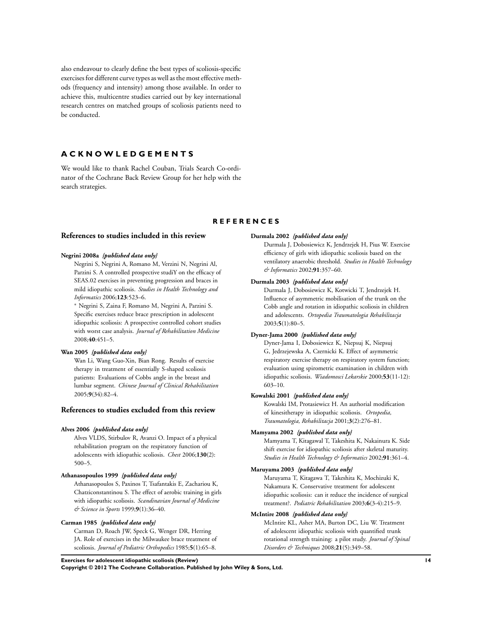also endeavour to clearly define the best types of scoliosis-specific exercises for different curve types as well as the most effective methods (frequency and intensity) among those available. In order to achieve this, multicentre studies carried out by key international research centres on matched groups of scoliosis patients need to be conducted.

# **A C K N O W L E D G E M E N T S**

We would like to thank Rachel Couban, Trials Search Co-ordinator of the Cochrane Back Review Group for her help with the search strategies.

#### **R E F E R E N C E S**

### **References to studies included in this review**

#### **Negrini 2008a** *{published data only}*

Negrini S, Negrini A, Romano M, Verzini N, Negrini Al, Parzini S. A controlled prospective studiY on the efficacy of SEAS.02 exercises in preventing progression and braces in mild idiopathic scoliosis. *Studies in Health Technology and Informatics* 2006;**123**:523–6.

<sup>∗</sup> Negrini S, Zaina F, Romano M, Negrini A, Parzini S. Specific exercises reduce brace prescription in adolescent idiopathic scoliosis: A prospective controlled cohort studies with worst case analysis. *Journal of Rehabilitation Medicine* 2008;**40**:451–5.

#### **Wan 2005** *{published data only}*

Wan Li, Wang Guo-Xin, Bian Rong. Results of exercise therapy in treatment of essentially S-shaped scoliosis patients: Evaluations of Cobbs angle in the breast and lumbar segment. *Chinese Journal of Clinical Rehabilitation* 2005;**9**(34):82–4.

# **References to studies excluded from this review**

#### **Alves 2006** *{published data only}*

Alves VLDS, Stirbulov R, Avanzi O. Impact of a physical rehabilitation program on the respiratory function of adolescents with idiopathic scoliosis. *Chest* 2006;**130**(2): 500–5.

#### **Athanasopoulos 1999** *{published data only}*

Athanasopoulos S, Paxinos T, Tsafantakis E, Zachariou K, Chatziconstantinou S. The effect of aerobic training in girls with idiopathic scoliosis. *Scandinavian Journal of Medicine & Science in Sports* 1999;**9**(1):36–40.

# **Carman 1985** *{published data only}*

Carman D, Roach JW, Speck G, Wenger DR, Herring JA. Role of exercises in the Milwaukee brace treatment of scoliosis. *Journal of Pediatric Orthopedics* 1985;**5**(1):65–8.

#### **Durmala 2002** *{published data only}*

Durmala J, Dobosiewicz K, Jendrzejek H, Pius W. Exercise efficiency of girls with idiopathic scoliosis based on the ventilatory anaerobic threshold. *Studies in Health Technology & Informatics* 2002;**91**:357–60.

# **Durmala 2003** *{published data only}*

Durmala J, Dobosiewicz K, Kotwicki T, Jendrzejek H. Influence of asymmetric mobilisation of the trunk on the Cobb angle and rotation in idiopathic scoliosis in children and adolescents. *Ortopedia Traumatologia Rehabilitacja* 2003;**5**(1):80–5.

#### **Dyner-Jama 2000** *{published data only}*

Dyner-Jama I, Dobosiewicz K, Niepsuj K, Niepsuj G, Jedrzejewska A, Czernicki K. Effect of asymmetric respiratory exercise therapy on respiratory system function; evaluation using spirometric examination in children with idiopathic scoliosis. *Wiadomosci Lekarskie* 2000;**53**(11-12): 603–10.

### **Kowalski 2001** *{published data only}*

Kowalski IM, Protasiewicz H. An authorial modification of kinesitherapy in idiopathic scoliosis. *Ortopedia, Traumatologia, Rehabilitacja* 2001;**3**(2):276–81.

#### **Mamyama 2002** *{published data only}*

Mamyama T, Kitagawal T, Takeshita K, Nakainura K. Side shift exercise for idiopathic scoliosis after skeletal maturity. *Studies in Health Technology & Informatics* 2002;**91**:361–4.

#### **Maruyama 2003** *{published data only}*

Maruyama T, Kitagawa T, Takeshita K, Mochizuki K, Nakamura K. Conservative treatment for adolescent idiopathic scoliosis: can it reduce the incidence of surgical treatment?. *Pediatric Rehabilitation* 2003;**6**(3-4):215–9.

#### **McIntire 2008** *{published data only}*

McIntire KL, Asher MA, Burton DC, Liu W. Treatment of adolescent idiopathic scoliosis with quantified trunk rotational strength training: a pilot study. *Journal of Spinal Disorders & Techniques* 2008;**21**(5):349–58.

**Exercises for adolescent idiopathic scoliosis (Review) 14**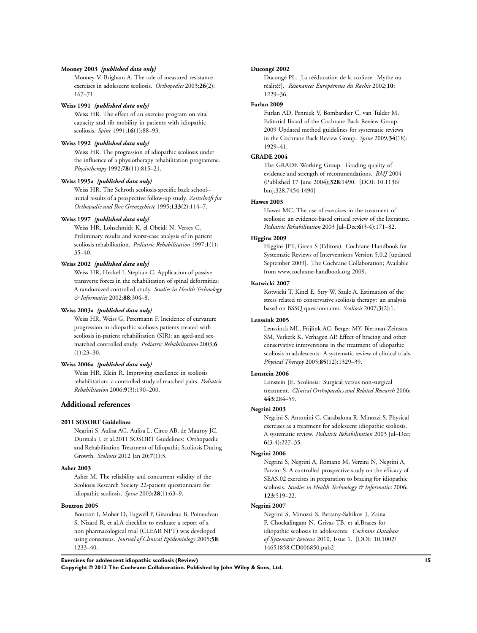### **Mooney 2003** *{published data only}*

Mooney V, Brigham A. The role of measured resistance exercises in adolescent scoliosis. *Orthopedics* 2003;**26**(2): 167–71.

#### **Weiss 1991** *{published data only}*

Weiss HR. The effect of an exercise program on vital capacity and rib mobility in patients with idiopathic scoliosis. *Spine* 1991;**16**(1):88–93.

### **Weiss 1992** *{published data only}*

Weiss HR. The progression of idiopathic scoliosis under the influence of a physiotherapy rehabilitation programme. *Physiotherapy* 1992;**78**(11):815–21.

### **Weiss 1995a** *{published data only}*

Weiss HR. The Schroth scoliosis-specific back school- initial results of a prospective follow-up study. *Zeitschrift fur Orthopadie und Ihre Grenzgebiete* 1995;**133**(2):114–7.

### **Weiss 1997** *{published data only}*

Weiss HR, Lohschmidt K, el Obeidi N, Verres C. Preliminary results and worst-case analysis of in patient scoliosis rehabilitation. *Pediatric Rehabilitation* 1997;**1**(1): 35–40.

### **Weiss 2002** *{published data only}*

Weiss HR, Heckel I, Stephan C. Application of passive transverse forces in the rehabilitation of spinal deformities: A randomized controlled study. *Studies in Health Technology & Informatics* 2002;**88**:304–8.

### **Weiss 2003a** *{published data only}*

Weiss HR, Weiss G, Petermann F. Incidence of curvature progression in idiopathic scoliosis patients treated with scoliosis in-patient rehabilitation (SIR): an aged-and sexmatched controlled study. *Pediatric Rehabilitation* 2003;**6** (1):23–30.

#### **Weiss 2006a** *{published data only}*

Weiss HR, Klein R. Improving excellence in scoliosis rehabilitation: a controlled study of matched pairs. *Pediatric Rehabilitation* 2006;**9**(3):190–200.

#### **Additional references**

### **2011 SOSORT Guidelines**

Negrini S, Aulisa AG, Aulisa L, Circo AB, de Mauroy JC, Durmala J, et al.2011 SOSORT Guidelines: Orthopaedic and Rehabilitation Treatment of Idiopathic Scoliosis During Growth. *Scoliosis* 2012 Jan 20;**7**(1):3.

#### **Asher 2003**

Asher M. The reliability and concurrent validity of the Scoliosis Research Society 22-patient questionnaire for idiopathic scoliosis. *Spine* 2003;**28**(1):63–9.

#### **Boutron 2005**

Boutron I, Moher D, Tugwell P, Giraudeau B, Poiraudeau S, Nizard R, et al.A checklist to evaluate a report of a non pharmacological trial (CLEAR NPT) was developed using consensus. *Journal of Clinical Epidemiology* 2005;**58**: 1233–40.

#### **Ducongé 2002**

Ducongé PL. [La rééducation de la scoliose. Mythe ou réalitè?]. *Résonances Européennes du Rachis* 2002;**10**: 1229–36.

#### **Furlan 2009**

Furlan AD, Pennick V, Bombardier C, van Tulder M, Editorial Board of the Cochrane Back Review Group. 2009 Updated method guidelines for systematic reviews in the Cochrane Back Review Group. *Spine* 2009;**34**(18): 1929–41.

# **GRADE 2004**

The GRADE Working Group. Grading quality of evidence and strength of recommendations. *BMJ* 2004 (Published 17 June 2004);**328**:1490. [DOI: 10.1136/ bmj.328.7454.1490]

#### **Hawes 2003**

Hawes MC. The use of exercises in the treatment of scoliosis: an evidence-based critical review of the literature. *Pediatric Rehabilitation* 2003 Jul–Dec;**6**(3-4):171–82.

# **Higgins 2009**

Higgins JPT, Green S (Editors). Cochrane Handbook for Systematic Reviews of Interventions Version 5.0.2 [updated September 2009]. The Cochrane Collaboration; Available from www.cochrane-handbook.org 2009.

#### **Kotwicki 2007**

Kotwicki T, Kinel E, Stry W, Szulc A. Estimation of the stress related to conservative scoliosis therapy: an analysis based on BSSQ questionnaires. *Scoliosis* 2007;**3**(2):1.

#### **Lenssink 2005**

Lenssinck ML, Frijlink AC, Berger MY, Bierman-Zeinstra SM, Verkerk K, Verhagen AP. Effect of bracing and other conservative interventions in the treatment of idiopathic scoliosis in adolescents: A systematic review of clinical trials. *Physical Therapy* 2005;**85**(12):1329–39.

### **Lonstein 2006**

Lonstein JE. Scoliosis: Surgical versus non-surgical treatment. *Clinical Orthopaedics and Related Research* 2006; **443**:284–59.

#### **Negrini 2003**

Negrini S, Antonini G, Carabalona R, Minozzi S. Physical exercises as a treatment for adolescent idiopathic scoliosis. A systematic review. *Pediatric Rehabilitation* 2003 Jul–Dec; **6**(3-4):227–35.

#### **Negrini 2006**

Negrini S, Negrini A, Romano M, Verzini N, Negrini A, Parzini S. A controlled prospective study on the efficacy of SEAS.02 exercises in preparation to bracing for idiopathic scoliosis. *Studies in Health Technology & Informatics* 2006; **123**:519–22.

#### **Negrini 2007**

Negrini S, Minozzi S, Bettany-Saltikov J, Zaina F, Chockalingam N, Grivas TB, et al.Braces for idiopathic scoliosis in adolescents. *Cochrane Database of Systematic Reviews* 2010, Issue 1. [DOI: 10.1002/ 14651858.CD006850.pub2]

**Exercises for adolescent idiopathic scoliosis (Review) 15**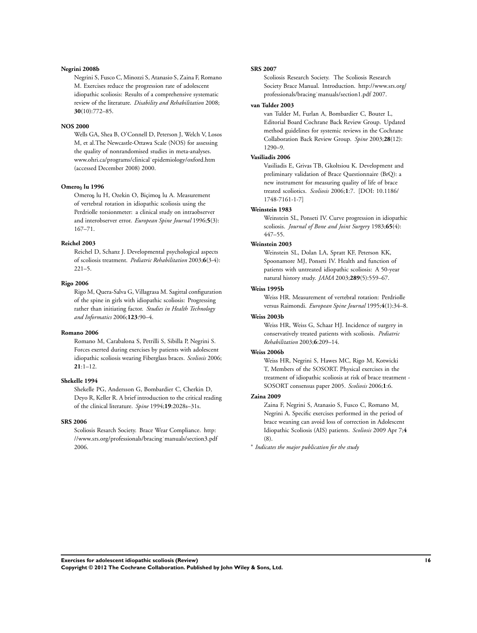# **Negrini 2008b**

Negrini S, Fusco C, Minozzi S, Atanasio S, Zaina F, Romano M. Exercises reduce the progression rate of adolescent idiopathic scoliosis: Results of a comprehensive systematic review of the literature. *Disability and Rehabilitation* 2008; **30**(10):772–85.

#### **NOS 2000**

Wells GA, Shea B, O'Connell D, Peterson J, Welch V, Losos M, et al.The Newcastle-Ottawa Scale (NOS) for assessing the quality of nonrandomised studies in meta-analyses. www.ohri.ca/programs/clinical˙epidemiology/oxford.htm (accessed December 2008) 2000.

#### **Omero lu 1996**

Omerog lu H, Ozekin O, Biçimog lu A. Measurement of vertebral rotation in idiopathic scoliosis using the Perdriolle torsionmeter: a clinical study on intraobserver and interobserver error. *European Spine Journal* 1996;**5**(3): 167–71.

### **Reichel 2003**

Reichel D, Schanz J. Developmental psychological aspects of scoliosis treatment. *Pediatric Rehabilitation* 2003;**6**(3-4): 221–5.

# **Rigo 2006**

Rigo M, Quera-Salva G, Villagrasa M. Sagittal configuration of the spine in girls with idiopathic scoliosis: Progressing rather than initiating factor. *Studies in Health Technology and Informatics* 2006;**123**:90–4.

#### **Romano 2006**

Romano M, Carabalona S, Petrilli S, Sibilla P, Negrini S. Forces exerted during exercises by patients with adolescent idiopathic scoliosis wearing Fiberglass braces. *Scoliosis* 2006; **21**:1–12.

#### **Shekelle 1994**

Shekelle PG, Andersson G, Bombardier C, Cherkin D, Deyo R, Keller R. A brief introduction to the critical reading of the clinical literature. *Spine* 1994;**19**:2028s–31s.

#### **SRS 2006**

Scoliosis Resarch Society. Brace Wear Compliance. http: //www.srs.org/professionals/bracing˙manuals/section3.pdf 2006.

#### **SRS 2007**

Scoliosis Research Society. The Scoliosis Research Society Brace Manual. Introduction. http://www.srs.org/ professionals/bracing˙manuals/section1.pdf 2007.

#### **van Tulder 2003**

van Tulder M, Furlan A, Bombardier C, Bouter L, Editorial Board Cochrane Back Review Group. Updated method guidelines for systemic reviews in the Cochrane Collaboration Back Review Group. *Spine* 2003;**28**(12): 1290–9.

#### **Vasiliadis 2006**

Vasiliadis E, Grivas TB, Gkoltsiou K. Development and preliminary validation of Brace Questionnaire (BrQ): a new instrument for measuring quality of life of brace treated scoliotics. *Scoliosis* 2006;**1**:7. [DOI: 10.1186/ 1748-7161-1-7]

### **Weinstein 1983**

Weinstein SL, Ponseti IV. Curve progression in idiopathic scoliosis. *Journal of Bone and Joint Surgery* 1983;**65**(4): 447–55.

### **Weinstein 2003**

Weinstein SL, Dolan LA, Spratt KF, Peterson KK, Spoonamore MJ, Ponseti IV. Health and function of patients with untreated idiopathic scoliosis: A 50-year natural history study. *JAMA* 2003;**289**(5):559–67.

# **Weiss 1995b**

Weiss HR. Measurement of vertebral rotation: Perdriolle versus Raimondi. *European Spine Journal* 1995;**4**(1):34–8.

#### **Weiss 2003b**

Weiss HR, Weiss G, Schaar HJ. Incidence of surgery in conservatively treated patients with scoliosis. *Pediatric Rehabilitation* 2003;**6**:209–14.

#### **Weiss 2006b**

Weiss HR, Negrini S, Hawes MC, Rigo M, Kotwicki T, Members of the SOSORT. Physical exercises in the treatment of idiopathic scoliosis at risk of brace treatment - SOSORT consensus paper 2005. *Scoliosis* 2006;**1**:6.

#### **Zaina 2009**

Zaina F, Negrini S, Atanasio S, Fusco C, Romano M, Negrini A. Specific exercises performed in the period of brace weaning can avoid loss of correction in Adolescent Idiopathic Scoliosis (AIS) patients. *Scoliosis* 2009 Apr 7;**4**  $(8)$ 

∗ *Indicates the major publication for the study*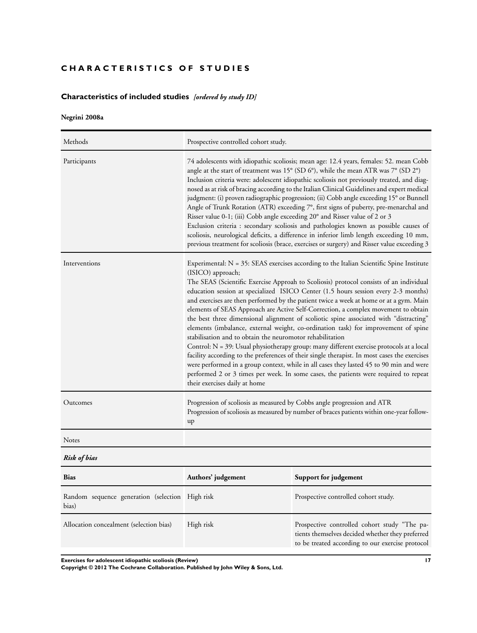# **CHARACTERISTICS OF STUDIES**

# **Characteristics of included studies** *[ordered by study ID]*

# **Negrini 2008a**

| Methods                                                  | Prospective controlled cohort study.                                                                                                                                                                                                                                                                                                                                                                                                                                                                                                                                                                                                                                                                                                                                                                                                                                                                                                                                                                                                                                                                                                         |                                                                                                                                                      |
|----------------------------------------------------------|----------------------------------------------------------------------------------------------------------------------------------------------------------------------------------------------------------------------------------------------------------------------------------------------------------------------------------------------------------------------------------------------------------------------------------------------------------------------------------------------------------------------------------------------------------------------------------------------------------------------------------------------------------------------------------------------------------------------------------------------------------------------------------------------------------------------------------------------------------------------------------------------------------------------------------------------------------------------------------------------------------------------------------------------------------------------------------------------------------------------------------------------|------------------------------------------------------------------------------------------------------------------------------------------------------|
| Participants                                             | 74 adolescents with idiopathic scoliosis; mean age: 12.4 years, females: 52. mean Cobb<br>angle at the start of treatment was 15° (SD 6°), while the mean ATR was 7° (SD 2°)<br>Inclusion criteria were: adolescent idiopathic scoliosis not previously treated, and diag-<br>nosed as at risk of bracing according to the Italian Clinical Guidelines and expert medical<br>judgment: (i) proven radiographic progression; (ii) Cobb angle exceeding 15° or Bunnell<br>Angle of Trunk Rotation (ATR) exceeding 7°, first signs of puberty, pre-menarchal and<br>Risser value 0-1; (iii) Cobb angle exceeding 20° and Risser value of 2 or 3<br>Exclusion criteria : secondary scoliosis and pathologies known as possible causes of<br>scoliosis, neurological deficits, a difference in inferior limb length exceeding 10 mm,<br>previous treatment for scoliosis (brace, exercises or surgery) and Risser value exceeding 3                                                                                                                                                                                                               |                                                                                                                                                      |
| Interventions                                            | Experimental: $N = 35$ : SEAS exercises according to the Italian Scientific Spine Institute<br>(ISICO) approach;<br>The SEAS (Scientific Exercise Approah to Scoliosis) protocol consists of an individual<br>education session at specialized ISICO Center (1.5 hours session every 2-3 months)<br>and exercises are then performed by the patient twice a week at home or at a gym. Main<br>elements of SEAS Approach are Active Self-Correction, a complex movement to obtain<br>the best three dimensional alignment of scoliotic spine associated with "distracting"<br>elements (imbalance, external weight, co-ordination task) for improvement of spine<br>stabilisation and to obtain the neuromotor rehabilitation<br>Control: N = 39: Usual physiotherapy group: many different exercise protocols at a local<br>facility according to the preferences of their single therapist. In most cases the exercises<br>were performed in a group context, while in all cases they lasted 45 to 90 min and were<br>performed 2 or 3 times per week. In some cases, the patients were required to repeat<br>their exercises daily at home |                                                                                                                                                      |
| Outcomes                                                 | Progression of scoliosis as measured by Cobbs angle progression and ATR<br>Progression of scoliosis as measured by number of braces patients within one-year follow-<br>up                                                                                                                                                                                                                                                                                                                                                                                                                                                                                                                                                                                                                                                                                                                                                                                                                                                                                                                                                                   |                                                                                                                                                      |
| <b>Notes</b>                                             |                                                                                                                                                                                                                                                                                                                                                                                                                                                                                                                                                                                                                                                                                                                                                                                                                                                                                                                                                                                                                                                                                                                                              |                                                                                                                                                      |
| <b>Risk of bias</b>                                      |                                                                                                                                                                                                                                                                                                                                                                                                                                                                                                                                                                                                                                                                                                                                                                                                                                                                                                                                                                                                                                                                                                                                              |                                                                                                                                                      |
| <b>Bias</b>                                              | Authors' judgement                                                                                                                                                                                                                                                                                                                                                                                                                                                                                                                                                                                                                                                                                                                                                                                                                                                                                                                                                                                                                                                                                                                           | Support for judgement                                                                                                                                |
| Random sequence generation (selection High risk<br>bias) |                                                                                                                                                                                                                                                                                                                                                                                                                                                                                                                                                                                                                                                                                                                                                                                                                                                                                                                                                                                                                                                                                                                                              | Prospective controlled cohort study.                                                                                                                 |
| Allocation concealment (selection bias)                  | High risk                                                                                                                                                                                                                                                                                                                                                                                                                                                                                                                                                                                                                                                                                                                                                                                                                                                                                                                                                                                                                                                                                                                                    | Prospective controlled cohort study "The pa-<br>tients themselves decided whether they preferred<br>to be treated according to our exercise protocol |

**Exercises for adolescent idiopathic scoliosis (Review) 17**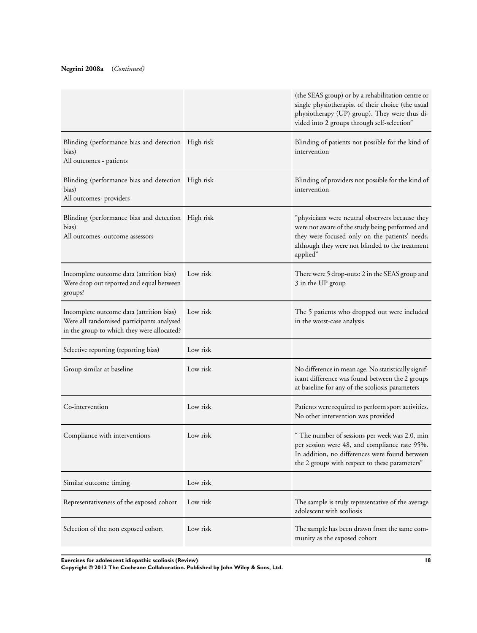# **Negrini 2008a** (*Continued)*

|                                                                                                                                     |          | (the SEAS group) or by a rehabilitation centre or<br>single physiotherapist of their choice (the usual<br>physiotherapy (UP) group). They were thus di-<br>vided into 2 groups through self-selection"              |
|-------------------------------------------------------------------------------------------------------------------------------------|----------|---------------------------------------------------------------------------------------------------------------------------------------------------------------------------------------------------------------------|
| Blinding (performance bias and detection High risk<br>bias)<br>All outcomes - patients                                              |          | Blinding of patients not possible for the kind of<br>intervention                                                                                                                                                   |
| Blinding (performance bias and detection High risk<br>bias)<br>All outcomes- providers                                              |          | Blinding of providers not possible for the kind of<br>intervention                                                                                                                                                  |
| Blinding (performance bias and detection High risk<br>bias)<br>All outcomes-.outcome assessors                                      |          | "physicians were neutral observers because they<br>were not aware of the study being performed and<br>they were focused only on the patients' needs,<br>although they were not blinded to the treatment<br>applied" |
| Incomplete outcome data (attrition bias)<br>Were drop out reported and equal between<br>groups?                                     | Low risk | There were 5 drop-outs: 2 in the SEAS group and<br>3 in the UP group                                                                                                                                                |
| Incomplete outcome data (attrition bias)<br>Were all randomised participants analysed<br>in the group to which they were allocated? | Low risk | The 5 patients who dropped out were included<br>in the worst-case analysis                                                                                                                                          |
| Selective reporting (reporting bias)                                                                                                | Low risk |                                                                                                                                                                                                                     |
| Group similar at baseline                                                                                                           | Low risk | No difference in mean age. No statistically signif-<br>icant difference was found between the 2 groups<br>at baseline for any of the scoliosis parameters                                                           |
| Co-intervention                                                                                                                     | Low risk | Patients were required to perform sport activities.<br>No other intervention was provided                                                                                                                           |
| Compliance with interventions                                                                                                       | Low risk | " The number of sessions per week was 2.0, min<br>per session were 48, and compliance rate 95%.<br>In addition, no differences were found between<br>the 2 groups with respect to these parameters"                 |
| Similar outcome timing                                                                                                              | Low risk |                                                                                                                                                                                                                     |
| Representativeness of the exposed cohort                                                                                            | Low risk | The sample is truly representative of the average<br>adolescent with scoliosis                                                                                                                                      |
| Selection of the non exposed cohort                                                                                                 | Low risk | The sample has been drawn from the same com-<br>munity as the exposed cohort                                                                                                                                        |

**Exercises for adolescent idiopathic scoliosis (Review) 18**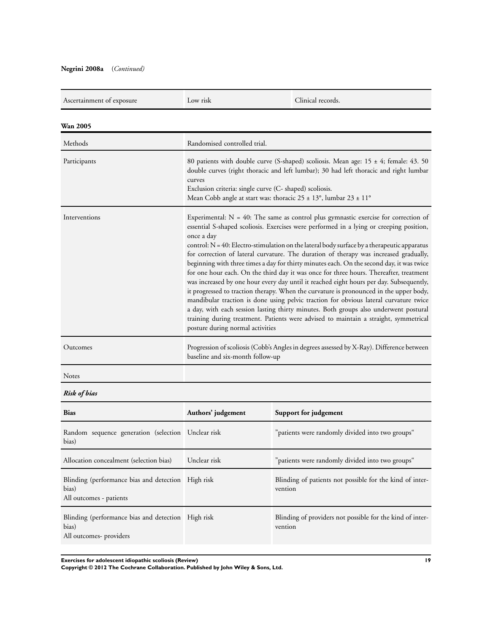# **Negrini 2008a** (*Continued)*

| Ascertainment of exposure | Low risk                                                                                                                                                                                                                                                                                                                                                                                                                                                                                                                                                                                                                                                                                                                                                                                                                                                                                                                                                                                                                                                                            | Clinical records. |
|---------------------------|-------------------------------------------------------------------------------------------------------------------------------------------------------------------------------------------------------------------------------------------------------------------------------------------------------------------------------------------------------------------------------------------------------------------------------------------------------------------------------------------------------------------------------------------------------------------------------------------------------------------------------------------------------------------------------------------------------------------------------------------------------------------------------------------------------------------------------------------------------------------------------------------------------------------------------------------------------------------------------------------------------------------------------------------------------------------------------------|-------------------|
| <b>Wan 2005</b>           |                                                                                                                                                                                                                                                                                                                                                                                                                                                                                                                                                                                                                                                                                                                                                                                                                                                                                                                                                                                                                                                                                     |                   |
| Methods                   | Randomised controlled trial.                                                                                                                                                                                                                                                                                                                                                                                                                                                                                                                                                                                                                                                                                                                                                                                                                                                                                                                                                                                                                                                        |                   |
| Participants              | 80 patients with double curve (S-shaped) scoliosis. Mean age: $15 \pm 4$ ; female: 43. 50<br>double curves (right thoracic and left lumbar); 30 had left thoracic and right lumbar<br>curves<br>Exclusion criteria: single curve (C- shaped) scoliosis.<br>Mean Cobb angle at start was: thoracic $25 \pm 13^{\circ}$ , lumbar $23 \pm 11^{\circ}$                                                                                                                                                                                                                                                                                                                                                                                                                                                                                                                                                                                                                                                                                                                                  |                   |
| Interventions             | Experimental: $N = 40$ : The same as control plus gymnastic exercise for correction of<br>essential S-shaped scoliosis. Exercises were performed in a lying or creeping position,<br>once a day<br>control: $N = 40$ : Electro-stimulation on the lateral body surface by a therapeutic apparatus<br>for correction of lateral curvature. The duration of therapy was increased gradually,<br>beginning with three times a day for thirty minutes each. On the second day, it was twice<br>for one hour each. On the third day it was once for three hours. Thereafter, treatment<br>was increased by one hour every day until it reached eight hours per day. Subsequently,<br>it progressed to traction therapy. When the curvature is pronounced in the upper body,<br>mandibular traction is done using pelvic traction for obvious lateral curvature twice<br>a day, with each session lasting thirty minutes. Both groups also underwent postural<br>training during treatment. Patients were advised to maintain a straight, symmetrical<br>posture during normal activities |                   |
| Outcomes                  | Progression of scoliosis (Cobb's Angles in degrees assessed by X-Ray). Difference between<br>baseline and six-month follow-up                                                                                                                                                                                                                                                                                                                                                                                                                                                                                                                                                                                                                                                                                                                                                                                                                                                                                                                                                       |                   |
| Notes                     |                                                                                                                                                                                                                                                                                                                                                                                                                                                                                                                                                                                                                                                                                                                                                                                                                                                                                                                                                                                                                                                                                     |                   |

# *Risk of bias*

| <b>Bias</b>                                                                            | Authors' judgement | Support for judgement                                                |
|----------------------------------------------------------------------------------------|--------------------|----------------------------------------------------------------------|
| Random sequence generation (selection Unclear risk<br>bias)                            |                    | "patients were randomly divided into two groups"                     |
| Allocation concealment (selection bias)                                                | Unclear risk       | "patients were randomly divided into two groups"                     |
| Blinding (performance bias and detection High risk<br>bias)<br>All outcomes - patients |                    | Blinding of patients not possible for the kind of inter-<br>vention  |
| Blinding (performance bias and detection High risk<br>bias)<br>All outcomes-providers  |                    | Blinding of providers not possible for the kind of inter-<br>vention |

**Exercises for adolescent idiopathic scoliosis (Review) 19**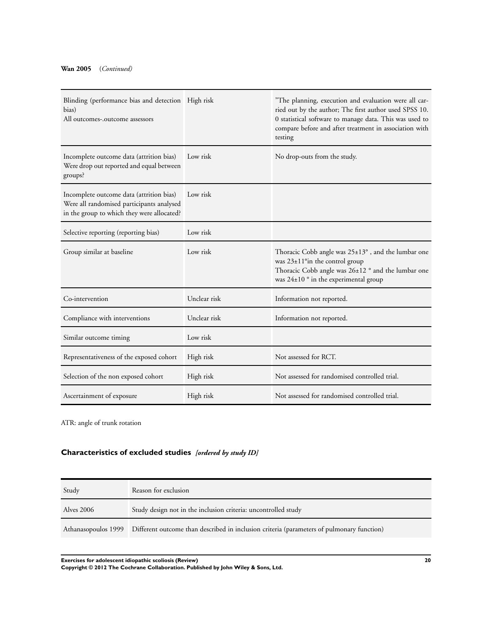# **Wan 2005** (*Continued)*

| Blinding (performance bias and detection High risk<br>bias)<br>All outcomes-.outcome assessors                                      |              | "The planning, execution and evaluation were all car-<br>ried out by the author; The first author used SPSS 10.<br>0 statistical software to manage data. This was used to<br>compare before and after treatment in association with<br>testing |
|-------------------------------------------------------------------------------------------------------------------------------------|--------------|-------------------------------------------------------------------------------------------------------------------------------------------------------------------------------------------------------------------------------------------------|
| Incomplete outcome data (attrition bias)<br>Were drop out reported and equal between<br>groups?                                     | Low risk     | No drop-outs from the study.                                                                                                                                                                                                                    |
| Incomplete outcome data (attrition bias)<br>Were all randomised participants analysed<br>in the group to which they were allocated? | Low risk     |                                                                                                                                                                                                                                                 |
| Selective reporting (reporting bias)                                                                                                | Low risk     |                                                                                                                                                                                                                                                 |
| Group similar at baseline                                                                                                           | Low risk     | Thoracic Cobb angle was 25±13°, and the lumbar one<br>was 23±11°in the control group<br>Thoracic Cobb angle was 26±12 ° and the lumbar one<br>was $24\pm10$ ° in the experimental group                                                         |
| Co-intervention                                                                                                                     | Unclear risk | Information not reported.                                                                                                                                                                                                                       |
| Compliance with interventions                                                                                                       | Unclear risk | Information not reported.                                                                                                                                                                                                                       |
| Similar outcome timing                                                                                                              | Low risk     |                                                                                                                                                                                                                                                 |
| Representativeness of the exposed cohort                                                                                            | High risk    | Not assessed for RCT.                                                                                                                                                                                                                           |
| Selection of the non exposed cohort                                                                                                 | High risk    | Not assessed for randomised controlled trial.                                                                                                                                                                                                   |
| Ascertainment of exposure                                                                                                           | High risk    | Not assessed for randomised controlled trial.                                                                                                                                                                                                   |

ATR: angle of trunk rotation

# **Characteristics of excluded studies** *[ordered by study ID]*

| Study      | Reason for exclusion                                                                                          |
|------------|---------------------------------------------------------------------------------------------------------------|
| Alves 2006 | Study design not in the inclusion criteria: uncontrolled study                                                |
|            | Athanasopoulos 1999 Different outcome than described in inclusion criteria (parameters of pulmonary function) |

**Exercises for adolescent idiopathic scoliosis (Review) 20**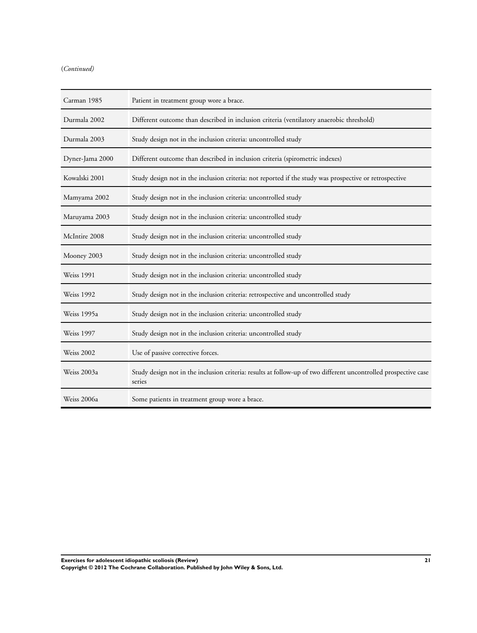# (*Continued)*

| Carman 1985     | Patient in treatment group wore a brace.                                                                                  |
|-----------------|---------------------------------------------------------------------------------------------------------------------------|
| Durmala 2002    | Different outcome than described in inclusion criteria (ventilatory anaerobic threshold)                                  |
| Durmala 2003    | Study design not in the inclusion criteria: uncontrolled study                                                            |
| Dyner-Jama 2000 | Different outcome than described in inclusion criteria (spirometric indexes)                                              |
| Kowalski 2001   | Study design not in the inclusion criteria: not reported if the study was prospective or retrospective                    |
| Mamyama 2002    | Study design not in the inclusion criteria: uncontrolled study                                                            |
| Maruyama 2003   | Study design not in the inclusion criteria: uncontrolled study                                                            |
| McIntire 2008   | Study design not in the inclusion criteria: uncontrolled study                                                            |
| Mooney 2003     | Study design not in the inclusion criteria: uncontrolled study                                                            |
| Weiss 1991      | Study design not in the inclusion criteria: uncontrolled study                                                            |
| Weiss 1992      | Study design not in the inclusion criteria: retrospective and uncontrolled study                                          |
| Weiss 1995a     | Study design not in the inclusion criteria: uncontrolled study                                                            |
| Weiss 1997      | Study design not in the inclusion criteria: uncontrolled study                                                            |
| Weiss 2002      | Use of passive corrective forces.                                                                                         |
| Weiss 2003a     | Study design not in the inclusion criteria: results at follow-up of two different uncontrolled prospective case<br>series |
| Weiss 2006a     | Some patients in treatment group wore a brace.                                                                            |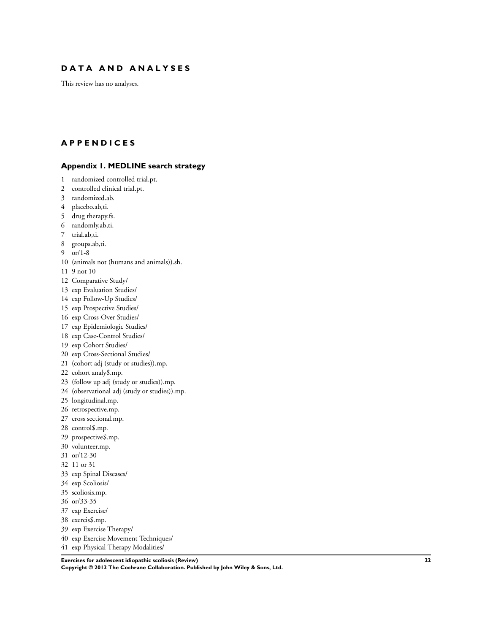# **D A T A A N D A N A L Y S E S**

This review has no analyses.

# **A P P E N D I C E S**

# **Appendix 1. MEDLINE search strategy**

- 1 randomized controlled trial.pt.
- 2 controlled clinical trial.pt.
- 3 randomized.ab.
- 4 placebo.ab,ti.
- 5 drug therapy.fs.
- 6 randomly.ab,ti.
- 7 trial.ab,ti.
- 8 groups.ab,ti.
- 9 or/1-8
- 10 (animals not (humans and animals)).sh.
- 11 9 not 10
- 12 Comparative Study/
- 13 exp Evaluation Studies/
- 14 exp Follow-Up Studies/
- 15 exp Prospective Studies/
- 16 exp Cross-Over Studies/
- 17 exp Epidemiologic Studies/
- 18 exp Case-Control Studies/
- 19 exp Cohort Studies/
- 20 exp Cross-Sectional Studies/
- 21 (cohort adj (study or studies)).mp.
- 22 cohort analy\$.mp.
- 23 (follow up adj (study or studies)).mp.
- 24 (observational adj (study or studies)).mp.
- 25 longitudinal.mp.
- 26 retrospective.mp.
- 27 cross sectional.mp.
- 28 control\$.mp.
- 29 prospective\$.mp.
- 30 volunteer.mp.
- 31 or/12-30
- 32 11 or 31
- 33 exp Spinal Diseases/
- 34 exp Scoliosis/
- 35 scoliosis.mp.
- 36 or/33-35
- 37 exp Exercise/
- 38 exercis\$.mp.
- 39 exp Exercise Therapy/
- 40 exp Exercise Movement Techniques/
- 41 exp Physical Therapy Modalities/

**Exercises for adolescent idiopathic scoliosis (Review) 22**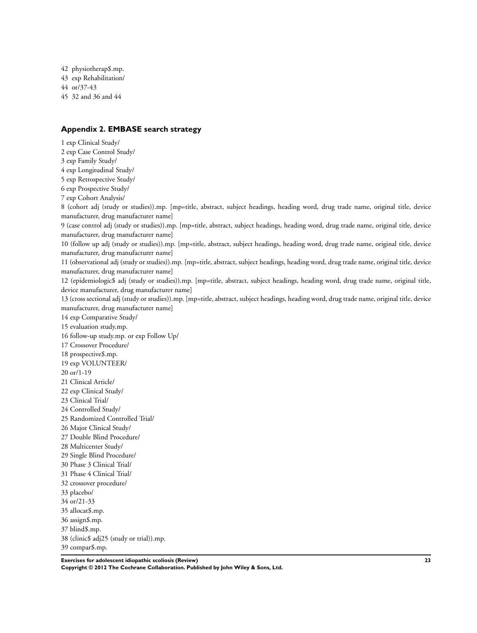42 physiotherap\$.mp. 43 exp Rehabilitation/ 44 or/37-43 45 32 and 36 and 44

# **Appendix 2. EMBASE search strategy**

1 exp Clinical Study/ 2 exp Case Control Study/ 3 exp Family Study/ 4 exp Longitudinal Study/ 5 exp Retrospective Study/ 6 exp Prospective Study/ 7 exp Cohort Analysis/ 8 (cohort adj (study or studies)).mp. [mp=title, abstract, subject headings, heading word, drug trade name, original title, device manufacturer, drug manufacturer name] 9 (case control adj (study or studies)).mp. [mp=title, abstract, subject headings, heading word, drug trade name, original title, device manufacturer, drug manufacturer name] 10 (follow up adj (study or studies)).mp. [mp=title, abstract, subject headings, heading word, drug trade name, original title, device manufacturer, drug manufacturer name] 11 (observational adj (study or studies)).mp. [mp=title, abstract, subject headings, heading word, drug trade name, original title, device manufacturer, drug manufacturer name] 12 (epidemiologic\$ adj (study or studies)).mp. [mp=title, abstract, subject headings, heading word, drug trade name, original title, device manufacturer, drug manufacturer name] 13 (cross sectional adj (study or studies)).mp. [mp=title, abstract, subject headings, heading word, drug trade name, original title, device manufacturer, drug manufacturer name] 14 exp Comparative Study/ 15 evaluation study.mp. 16 follow-up study.mp. or exp Follow Up/ 17 Crossover Procedure/ 18 prospective\$.mp. 19 exp VOLUNTEER/ 20 or/1-19 21 Clinical Article/ 22 exp Clinical Study/ 23 Clinical Trial/ 24 Controlled Study/ 25 Randomized Controlled Trial/ 26 Major Clinical Study/ 27 Double Blind Procedure/ 28 Multicenter Study/ 29 Single Blind Procedure/ 30 Phase 3 Clinical Trial/ 31 Phase 4 Clinical Trial/ 32 crossover procedure/ 33 placebo/ 34 or/21-33 35 allocat\$.mp. 36 assign\$.mp. 37 blind\$.mp. 38 (clinic\$ adj25 (study or trial)).mp. 39 compar\$.mp.

**Exercises for adolescent idiopathic scoliosis (Review) 23**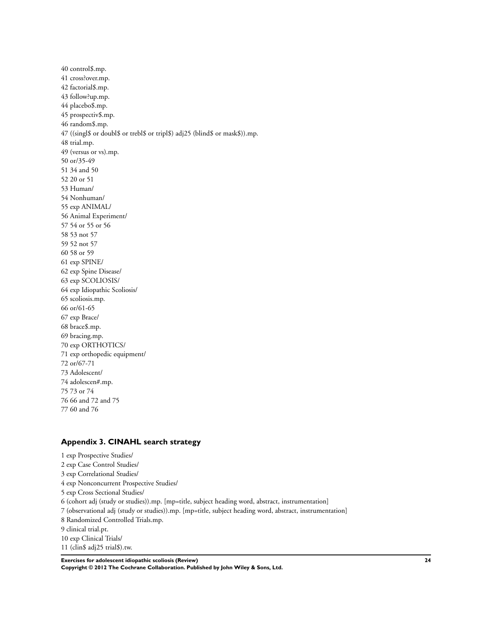40 control\$.mp. 41 cross?over.mp. 42 factorial\$.mp. 43 follow?up.mp. 44 placebo\$.mp. 45 prospectiv\$.mp. 46 random\$.mp. 47 ((singl\$ or doubl\$ or trebl\$ or tripl\$) adj25 (blind\$ or mask\$)).mp. 48 trial.mp. 49 (versus or vs).mp. 50 or/35-49 51 34 and 50 52 20 or 51 53 Human/ 54 Nonhuman/ 55 exp ANIMAL/ 56 Animal Experiment/ 57 54 or 55 or 56 58 53 not 57 59 52 not 57 60 58 or 59 61 exp SPINE/ 62 exp Spine Disease/ 63 exp SCOLIOSIS/ 64 exp Idiopathic Scoliosis/ 65 scoliosis.mp. 66 or/61-65 67 exp Brace/ 68 brace\$.mp. 69 bracing.mp. 70 exp ORTHOTICS/ 71 exp orthopedic equipment/ 72 or/67-71 73 Adolescent/ 74 adolescen#.mp. 75 73 or 74 76 66 and 72 and 75 77 60 and 76

### **Appendix 3. CINAHL search strategy**

1 exp Prospective Studies/ 2 exp Case Control Studies/ 3 exp Correlational Studies/ 4 exp Nonconcurrent Prospective Studies/ 5 exp Cross Sectional Studies/ 6 (cohort adj (study or studies)).mp. [mp=title, subject heading word, abstract, instrumentation] 7 (observational adj (study or studies)).mp. [mp=title, subject heading word, abstract, instrumentation] 8 Randomized Controlled Trials.mp. 9 clinical trial.pt. 10 exp Clinical Trials/ 11 (clin\$ adj25 trial\$).tw.

**Exercises for adolescent idiopathic scoliosis (Review) 24 Copyright © 2012 The Cochrane Collaboration. Published by John Wiley & Sons, Ltd.**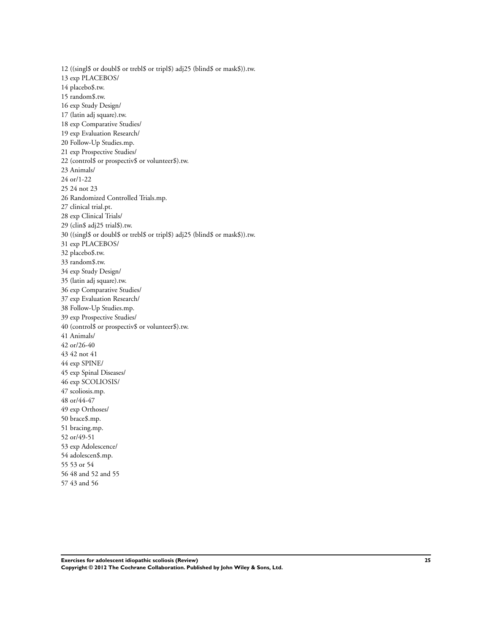12 ((singl\$ or doubl\$ or trebl\$ or tripl\$) adj25 (blind\$ or mask\$)).tw. 13 exp PLACEBOS/ 14 placebo\$.tw. 15 random\$.tw. 16 exp Study Design/ 17 (latin adj square).tw. 18 exp Comparative Studies/ 19 exp Evaluation Research/ 20 Follow-Up Studies.mp. 21 exp Prospective Studies/ 22 (control\$ or prospectiv\$ or volunteer\$).tw. 23 Animals/ 24 or/1-22 25 24 not 23 26 Randomized Controlled Trials.mp. 27 clinical trial.pt. 28 exp Clinical Trials/ 29 (clin\$ adj25 trial\$).tw. 30 ((singl\$ or doubl\$ or trebl\$ or tripl\$) adj25 (blind\$ or mask\$)).tw. 31 exp PLACEBOS/ 32 placebo\$.tw. 33 random\$.tw. 34 exp Study Design/ 35 (latin adj square).tw. 36 exp Comparative Studies/ 37 exp Evaluation Research/ 38 Follow-Up Studies.mp. 39 exp Prospective Studies/ 40 (control\$ or prospectiv\$ or volunteer\$).tw. 41 Animals/ 42 or/26-40 43 42 not 41 44 exp SPINE/ 45 exp Spinal Diseases/ 46 exp SCOLIOSIS/ 47 scoliosis.mp. 48 or/44-47 49 exp Orthoses/ 50 brace\$.mp. 51 bracing.mp. 52 or/49-51 53 exp Adolescence/ 54 adolescen\$.mp. 55 53 or 54 56 48 and 52 and 55 57 43 and 56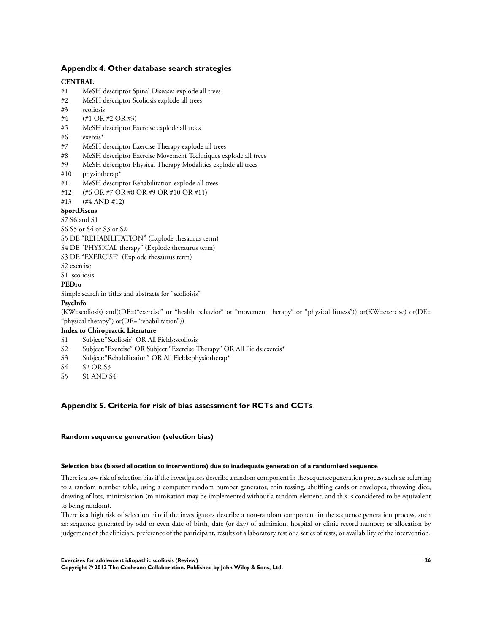# **Appendix 4. Other database search strategies**

# **CENTRAL**

- #1 MeSH descriptor Spinal Diseases explode all trees
- #2 MeSH descriptor Scoliosis explode all trees
- #3 scoliosis
- #4 (#1 OR #2 OR #3)
- #5 MeSH descriptor Exercise explode all trees
- $#6$  exercis<sup>\*</sup>
- #7 MeSH descriptor Exercise Therapy explode all trees
- #8 MeSH descriptor Exercise Movement Techniques explode all trees
- #9 MeSH descriptor Physical Therapy Modalities explode all trees
- #10 physiotherap\*
- #11 MeSH descriptor Rehabilitation explode all trees
- #12 (#6 OR #7 OR #8 OR #9 OR #10 OR #11)
- #13 (#4 AND #12)

# **SportDiscus**

# S7 S6 and S1

S6 S5 or S4 or S3 or S2

S5 DE "REHABILITATION" (Explode thesaurus term)

- S4 DE "PHYSICAL therapy" (Explode thesaurus term)
- S3 DE "EXERCISE" (Explode thesaurus term)
- S2 exercise
- S<sub>1</sub> scoliosis

# **PEDro**

Simple search in titles and abstracts for "scolioisis"

# **PsycInfo**

(KW=scoliosis) and((DE=("exercise" or "health behavior" or "movement therapy" or "physical fitness")) or(KW=exercise) or(DE= "physical therapy") or(DE="rehabilitation"))

# **Index to Chiropractic Literature**

- S1 Subject:"Scoliosis" OR All Fields:scoliosis
- S2 Subject: "Exercise" OR Subject: "Exercise Therapy" OR All Fields: exercis\*
- S3 Subject:"Rehabilitation" OR All Fields:physiotherap\*
- S4 S2 OR S3
- S5 S1 AND S4

# **Appendix 5. Criteria for risk of bias assessment for RCTs and CCTs**

# **Random sequence generation (selection bias)**

# **Selection bias (biased allocation to interventions) due to inadequate generation of a randomised sequence**

There is a low risk of selection bias if the investigators describe a random component in the sequence generation process such as: referring to a random number table, using a computer random number generator, coin tossing, shuffling cards or envelopes, throwing dice, drawing of lots, minimisation (minimisation may be implemented without a random element, and this is considered to be equivalent to being random).

There is a high risk of selection bia*s* if the investigators describe a non-random component in the sequence generation process, such as: sequence generated by odd or even date of birth, date (or day) of admission, hospital or clinic record number; or allocation by judgement of the clinician, preference of the participant, results of a laboratory test or a series of tests, or availability of the intervention.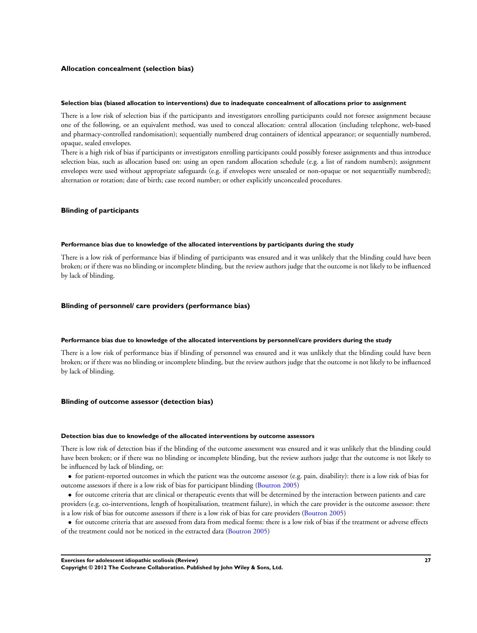#### **Allocation concealment (selection bias)**

#### **Selection bias (biased allocation to interventions) due to inadequate concealment of allocations prior to assignment**

There is a low risk of selection bias if the participants and investigators enrolling participants could not foresee assignment because one of the following, or an equivalent method, was used to conceal allocation: central allocation (including telephone, web-based and pharmacy-controlled randomisation); sequentially numbered drug containers of identical appearance; or sequentially numbered, opaque, sealed envelopes.

There is a high risk of bias if participants or investigators enrolling participants could possibly foresee assignments and thus introduce selection bias, such as allocation based on: using an open random allocation schedule (e.g. a list of random numbers); assignment envelopes were used without appropriate safeguards (e.g. if envelopes were unsealed or non-opaque or not sequentially numbered); alternation or rotation; date of birth; case record number; or other explicitly unconcealed procedures.

#### **Blinding of participants**

#### **Performance bias due to knowledge of the allocated interventions by participants during the study**

There is a low risk of performance bias if blinding of participants was ensured and it was unlikely that the blinding could have been broken; or if there was no blinding or incomplete blinding, but the review authors judge that the outcome is not likely to be influenced by lack of blinding.

#### **Blinding of personnel/ care providers (performance bias)**

#### **Performance bias due to knowledge of the allocated interventions by personnel/care providers during the study**

There is a low risk of performance bias if blinding of personnel was ensured and it was unlikely that the blinding could have been broken; or if there was no blinding or incomplete blinding, but the review authors judge that the outcome is not likely to be influenced by lack of blinding.

#### **Blinding of outcome assessor (detection bias)**

#### **Detection bias due to knowledge of the allocated interventions by outcome assessors**

There is low risk of detection bias if the blinding of the outcome assessment was ensured and it was unlikely that the blinding could have been broken; or if there was no blinding or incomplete blinding, but the review authors judge that the outcome is not likely to be influenced by lack of blinding, or:

• for patient-reported outcomes in which the patient was the outcome assessor (e.g. pain, disability): there is a low risk of bias for outcome assessors if there is a low risk of bias for participant blinding (Boutron 2005)

• for outcome criteria that are clinical or therapeutic events that will be determined by the interaction between patients and care providers (e.g. co-interventions, length of hospitalisation, treatment failure), in which the care provider is the outcome assessor: there is a low risk of bias for outcome assessors if there is a low risk of bias for care providers (Boutron 2005)

• for outcome criteria that are assessed from data from medical forms: there is a low risk of bias if the treatment or adverse effects of the treatment could not be noticed in the extracted data (Boutron 2005)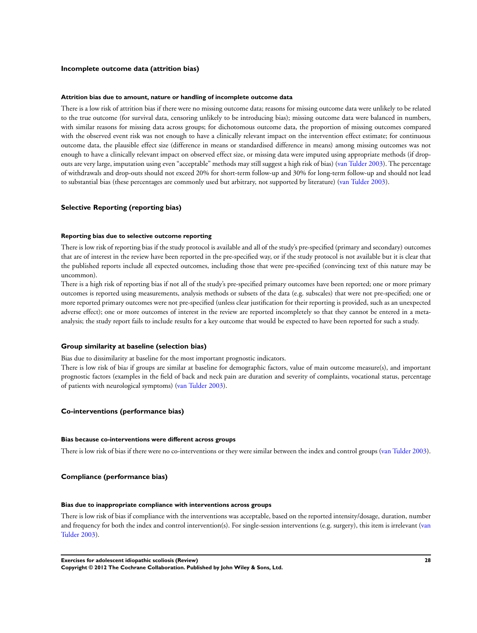#### **Incomplete outcome data (attrition bias)**

#### **Attrition bias due to amount, nature or handling of incomplete outcome data**

There is a low risk of attrition bias if there were no missing outcome data; reasons for missing outcome data were unlikely to be related to the true outcome (for survival data, censoring unlikely to be introducing bias); missing outcome data were balanced in numbers, with similar reasons for missing data across groups; for dichotomous outcome data, the proportion of missing outcomes compared with the observed event risk was not enough to have a clinically relevant impact on the intervention effect estimate; for continuous outcome data, the plausible effect size (difference in means or standardised difference in means) among missing outcomes was not enough to have a clinically relevant impact on observed effect size, or missing data were imputed using appropriate methods (if dropouts are very large, imputation using even "acceptable" methods may still suggest a high risk of bias) (van Tulder 2003). The percentage of withdrawals and drop-outs should not exceed 20% for short-term follow-up and 30% for long-term follow-up and should not lead to substantial bias (these percentages are commonly used but arbitrary, not supported by literature) (van Tulder 2003).

#### **Selective Reporting (reporting bias)**

#### **Reporting bias due to selective outcome reporting**

There is low risk of reporting bias if the study protocol is available and all of the study's pre-specified (primary and secondary) outcomes that are of interest in the review have been reported in the pre-specified way, or if the study protocol is not available but it is clear that the published reports include all expected outcomes, including those that were pre-specified (convincing text of this nature may be uncommon).

There is a high risk of reporting bias if not all of the study's pre-specified primary outcomes have been reported; one or more primary outcomes is reported using measurements, analysis methods or subsets of the data (e.g. subscales) that were not pre-specified; one or more reported primary outcomes were not pre-specified (unless clear justification for their reporting is provided, such as an unexpected adverse effect); one or more outcomes of interest in the review are reported incompletely so that they cannot be entered in a metaanalysis; the study report fails to include results for a key outcome that would be expected to have been reported for such a study.

### **Group similarity at baseline (selection bias)**

Bias due to dissimilarity at baseline for the most important prognostic indicators.

There is low risk of bia*s* if groups are similar at baseline for demographic factors, value of main outcome measure(s), and important prognostic factors (examples in the field of back and neck pain are duration and severity of complaints, vocational status, percentage of patients with neurological symptoms) (van Tulder 2003).

#### **Co-interventions (performance bias)**

#### **Bias because co-interventions were different across groups**

There is low risk of bias if there were no co-interventions or they were similar between the index and control groups (van Tulder 2003).

#### **Compliance (performance bias)**

#### **Bias due to inappropriate compliance with interventions across groups**

There is low risk of bias if compliance with the interventions was acceptable, based on the reported intensity/dosage, duration, number and frequency for both the index and control intervention(s). For single-session interventions (e.g. surgery), this item is irrelevant (van Tulder 2003).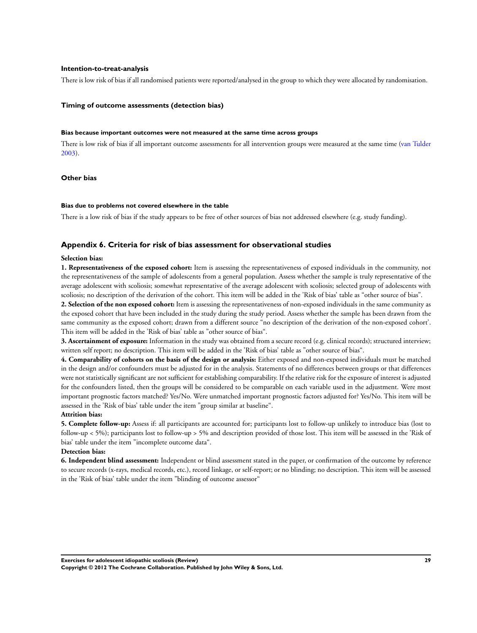#### **Intention-to-treat-analysis**

There is low risk of bias if all randomised patients were reported/analysed in the group to which they were allocated by randomisation.

#### **Timing of outcome assessments (detection bias)**

#### **Bias because important outcomes were not measured at the same time across groups**

There is low risk of bias if all important outcome assessments for all intervention groups were measured at the same time (van Tulder 2003).

### **Other bias**

#### **Bias due to problems not covered elsewhere in the table**

There is a low risk of bias if the study appears to be free of other sources of bias not addressed elsewhere (e.g. study funding).

# **Appendix 6. Criteria for risk of bias assessment for observational studies**

#### **Selection bias:**

**1. Representativeness of the exposed cohort:** Item is assessing the representativeness of exposed individuals in the community, not the representativeness of the sample of adolescents from a general population. Assess whether the sample is truly representative of the average adolescent with scoliosis; somewhat representative of the average adolescent with scoliosis; selected group of adolescents with scoliosis; no description of the derivation of the cohort. This item will be added in the 'Risk of bias' table as "other source of bias".

**2. Selection of the non exposed cohort:** Item is assessing the representativeness of non-exposed individuals in the same community as the exposed cohort that have been included in the study during the study period. Assess whether the sample has been drawn from the same community as the exposed cohort; drawn from a different source "no description of the derivation of the non-exposed cohort'. This item will be added in the 'Risk of bias' table as "other source of bias".

**3. Ascertainment of exposure:** Information in the study was obtained from a secure record (e.g. clinical records); structured interview; written self report; no description. This item will be added in the 'Risk of bias' table as "other source of bias".

**4. Comparability of cohorts on the basis of the design or analysis:** Either exposed and non-exposed individuals must be matched in the design and/or confounders must be adjusted for in the analysis. Statements of no differences between groups or that differences were not statistically significant are not sufficient for establishing comparability. If the relative risk for the exposure of interest is adjusted for the confounders listed, then the groups will be considered to be comparable on each variable used in the adjustment. Were most important prognostic factors matched? Yes/No. Were unmatched important prognostic factors adjusted for? Yes/No. This item will be assessed in the 'Risk of bias' table under the item "group similar at baseline".

### **Attrition bias:**

**5. Complete follow-up:** Assess if: all participants are accounted for; participants lost to follow-up unlikely to introduce bias (lost to follow-up < 5%); participants lost to follow-up > 5% and description provided of those lost. This item will be assessed in the 'Risk of bias' table under the item "incomplete outcome data".

### **Detection bias:**

**6. Independent blind assessment:** Independent or blind assessment stated in the paper, or confirmation of the outcome by reference to secure records (x-rays, medical records, etc.), record linkage, or self-report; or no blinding; no description. This item will be assessed in the 'Risk of bias' table under the item "blinding of outcome assessor"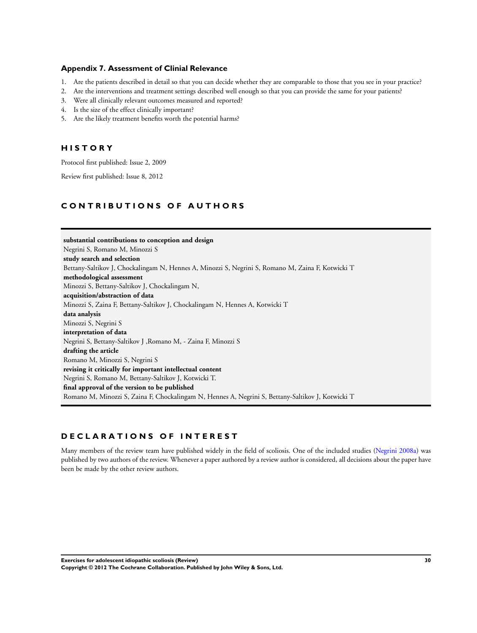### **Appendix 7. Assessment of Clinial Relevance**

- 1. Are the patients described in detail so that you can decide whether they are comparable to those that you see in your practice?
- 2. Are the interventions and treatment settings described well enough so that you can provide the same for your patients?
- 3. Were all clinically relevant outcomes measured and reported?
- 4. Is the size of the effect clinically important?
- 5. Are the likely treatment benefits worth the potential harms?

# **H I S T O R Y**

Protocol first published: Issue 2, 2009

Review first published: Issue 8, 2012

# **C O N T R I B U T I O N S O F A U T H O R S**

**substantial contributions to conception and design** Negrini S, Romano M, Minozzi S **study search and selection** Bettany-Saltikov J, Chockalingam N, Hennes A, Minozzi S, Negrini S, Romano M, Zaina F, Kotwicki T **methodological assessment** Minozzi S, Bettany-Saltikov J, Chockalingam N, **acquisition/abstraction of data** Minozzi S, Zaina F, Bettany-Saltikov J, Chockalingam N, Hennes A, Kotwicki T **data analysis** Minozzi S, Negrini S **interpretation of data** Negrini S, Bettany-Saltikov J ,Romano M, - Zaina F, Minozzi S **drafting the article** Romano M, Minozzi S, Negrini S **revising it critically for important intellectual content** Negrini S, Romano M, Bettany-Saltikov J, Kotwicki T. **final approval of the version to be published** Romano M, Minozzi S, Zaina F, Chockalingam N, Hennes A, Negrini S, Bettany-Saltikov J, Kotwicki T

# **D E C L A R A T I O N S O F I N T E R E S T**

Many members of the review team have published widely in the field of scoliosis. One of the included studies (Negrini 2008a) was published by two authors of the review. Whenever a paper authored by a review author is considered, all decisions about the paper have been be made by the other review authors.